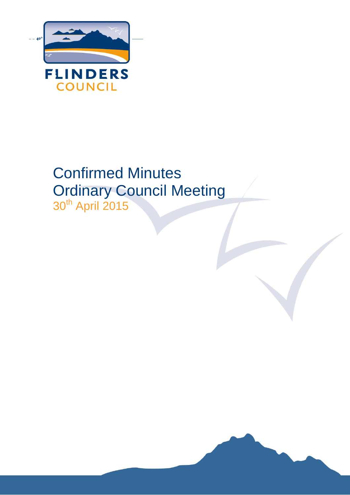

# Confirmed Minutes Ordinary Council Meeting 30<sup>th</sup> April 2015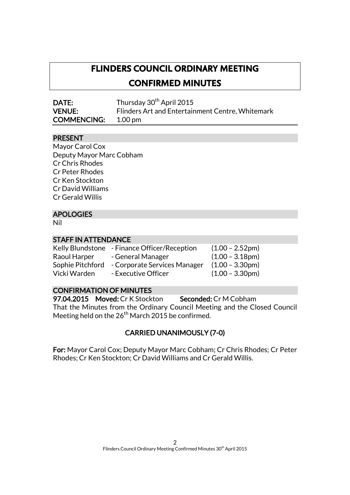# **FLINDERS COUNCIL ORDINARY MEETING**

**CONFIRMED MINUTES** 

| <b>DATE:</b>               | Thursday 30 <sup>th</sup> April 2015             |
|----------------------------|--------------------------------------------------|
| <b>VENUE:</b>              | Flinders Art and Entertainment Centre, Whitemark |
| <b>COMMENCING:</b> 1.00 pm |                                                  |

# PRESENT

Mayor Carol Cox Deputy Mayor Marc Cobham Cr Chris Rhodes Cr Peter Rhodes Cr Ken Stockton Cr David Williams Cr Gerald Willis

# APOLOGIES

Nil

# STAFF IN ATTENDANCE

|                  | Kelly Blundstone - Finance Officer/Reception | $(1.00 - 2.52pm)$ |
|------------------|----------------------------------------------|-------------------|
| Raoul Harper     | - General Manager                            | $(1.00 - 3.18pm)$ |
| Sophie Pitchford | - Corporate Services Manager                 | $(1.00 - 3.30pm)$ |
| Vicki Warden     | - Executive Officer                          | $(1.00 - 3.30pm)$ |

# CONFIRMATION OF MINUTES

97.04.2015 Moved: Cr K Stockton Seconded: Cr M Cobham That the Minutes from the Ordinary Council Meeting and the Closed Council Meeting held on the  $26<sup>th</sup>$  March 2015 be confirmed.

# CARRIED UNANIMOUSLY (7-0)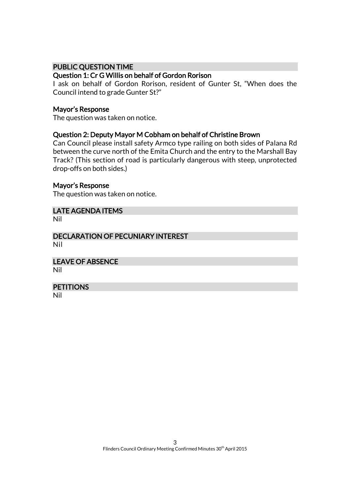### PUBLIC QUESTION TIME

### Question 1: Cr G Willis on behalf of Gordon Rorison

I ask on behalf of Gordon Rorison, resident of Gunter St, "When does the Council intend to grade Gunter St?"

#### Mayor's Response

The question was taken on notice.

### Question 2: Deputy Mayor M Cobham on behalf of Christine Brown

Can Council please install safety Armco type railing on both sides of Palana Rd between the curve north of the Emita Church and the entry to the Marshall Bay Track? (This section of road is particularly dangerous with steep, unprotected drop-offs on both sides.)

#### Mayor's Response

The question was taken on notice.

LATE AGENDA ITEMS

Nil

DECLARATION OF PECUNIARY INTEREST Nil

LEAVE OF ABSENCE Nil

**PETITIONS** 

Nil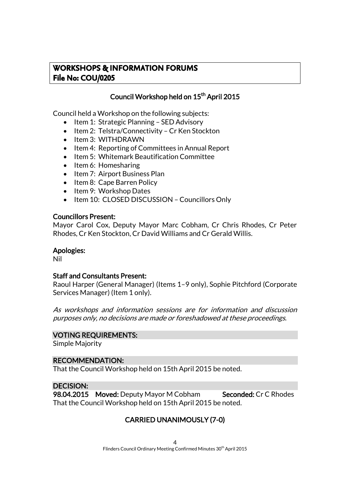# **WORKSHOPS & INFORMATION FORUMS File No: COU/0205**

# Council Workshop held on 15<sup>th</sup> April 2015

Council held a Workshop on the following subjects:

- Item 1: Strategic Planning SED Advisory
- Item 2: Telstra/Connectivity Cr Ken Stockton
- Item 3: WITHDRAWN
- Item 4: Reporting of Committees in Annual Report
- Item 5: Whitemark Beautification Committee
- $\bullet$  Item 6: Homesharing
- Item 7: Airport Business Plan
- Item 8: Cape Barren Policy
- Item 9: Workshop Dates
- Item 10: CLOSED DISCUSSION Councillors Only

### Councillors Present:

Mayor Carol Cox, Deputy Mayor Marc Cobham, Cr Chris Rhodes, Cr Peter Rhodes, Cr Ken Stockton, Cr David Williams and Cr Gerald Willis.

# Apologies:

Nil

# Staff and Consultants Present:

Raoul Harper (General Manager) (Items 1–9 only), Sophie Pitchford (Corporate Services Manager) (Item 1 only).

As workshops and information sessions are for information and discussion purposes only, no decisions are made or foreshadowed at these proceedings.

### VOTING REQUIREMENTS:

Simple Majority

# RECOMMENDATION:

That the Council Workshop held on 15th April 2015 be noted.

# DECISION:

98.04.2015 Moved: Deputy Mayor M Cobham Seconded: Cr C Rhodes That the Council Workshop held on 15th April 2015 be noted.

# CARRIED UNANIMOUSLY (7-0)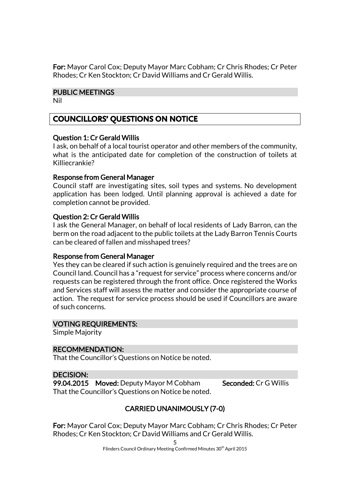For: Mayor Carol Cox; Deputy Mayor Marc Cobham; Cr Chris Rhodes; Cr Peter Rhodes; Cr Ken Stockton; Cr David Williams and Cr Gerald Willis.

### PUBLIC MEETINGS

Nil

# **COUNCILLORS' QUESTIONS ON NOTICE**

# Question 1: Cr Gerald Willis

I ask, on behalf of a local tourist operator and other members of the community, what is the anticipated date for completion of the construction of toilets at Killiecrankie?

# Response from General Manager

Council staff are investigating sites, soil types and systems. No development application has been lodged. Until planning approval is achieved a date for completion cannot be provided.

# Question 2: Cr Gerald Willis

I ask the General Manager, on behalf of local residents of Lady Barron, can the berm on the road adjacent to the public toilets at the Lady Barron Tennis Courts can be cleared of fallen and misshaped trees?

### Response from General Manager

Yes they can be cleared if such action is genuinely required and the trees are on Council land. Council has a "request for service" process where concerns and/or requests can be registered through the front office. Once registered the Works and Services staff will assess the matter and consider the appropriate course of action. The request for service process should be used if Councillors are aware of such concerns.

### VOTING REQUIREMENTS:

Simple Majority

# RECOMMENDATION:

That the Councillor's Questions on Notice be noted.

# DECISION:

99.04.2015 Moved: Deputy Mayor M Cobham Seconded: Cr G Willis That the Councillor's Questions on Notice be noted.

# CARRIED UNANIMOUSLY (7-0)

For: Mayor Carol Cox; Deputy Mayor Marc Cobham; Cr Chris Rhodes; Cr Peter Rhodes; Cr Ken Stockton; Cr David Williams and Cr Gerald Willis.

Flinders Council Ordinary Meeting Confirmed Minutes 30<sup>th</sup> April 2015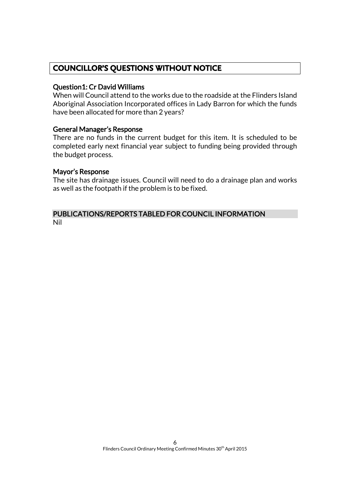# **COUNCILLOR'S QUESTIONS WITHOUT NOTICE**

### Question1: Cr David Williams

When will Council attend to the works due to the roadside at the Flinders Island Aboriginal Association Incorporated offices in Lady Barron for which the funds have been allocated for more than 2 years?

### General Manager's Response

There are no funds in the current budget for this item. It is scheduled to be completed early next financial year subject to funding being provided through the budget process.

### Mayor's Response

The site has drainage issues. Council will need to do a drainage plan and works as well as the footpath if the problem is to be fixed.

#### PUBLICATIONS/REPORTS TABLED FOR COUNCIL INFORMATION Nil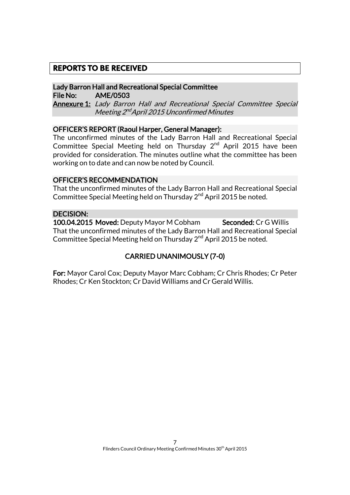# **REPORTS TO BE RECEIVED**

#### Lady Barron Hall and Recreational Special Committee File No: AME/0503

Annexure 1: Lady Barron Hall and Recreational Special Committee Special Meeting 2<sup>nd</sup> April 2015 Unconfirmed Minutes

### OFFICER'S REPORT (Raoul Harper, General Manager):

The unconfirmed minutes of the Lady Barron Hall and Recreational Special Committee Special Meeting held on Thursday 2<sup>nd</sup> April 2015 have been provided for consideration. The minutes outline what the committee has been working on to date and can now be noted by Council.

#### OFFICER'S RECOMMENDATION

That the unconfirmed minutes of the Lady Barron Hall and Recreational Special Committee Special Meeting held on Thursday 2<sup>nd</sup> April 2015 be noted.

### DECISION:

100.04.2015 Moved: Deputy Mayor M Cobham Seconded: Cr G Willis That the unconfirmed minutes of the Lady Barron Hall and Recreational Special Committee Special Meeting held on Thursday 2<sup>nd</sup> April 2015 be noted.

# CARRIED UNANIMOUSLY (7-0)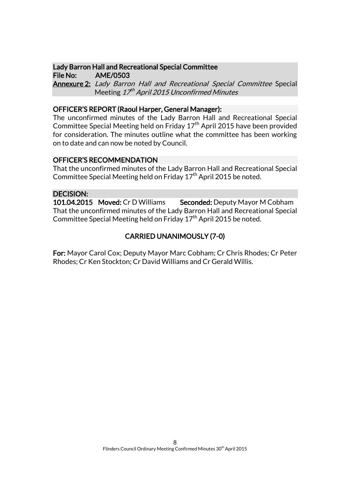#### Lady Barron Hall and Recreational Special Committee File No: AME/0503

Annexure 2: Lady Barron Hall and Recreational Special Committee Special Meeting *17<sup>th</sup> April 2015 Unconfirmed Minutes* 

#### OFFICER'S REPORT (Raoul Harper, General Manager):

The unconfirmed minutes of the Lady Barron Hall and Recreational Special Committee Special Meeting held on Friday  $17<sup>th</sup>$  April 2015 have been provided for consideration. The minutes outline what the committee has been working on to date and can now be noted by Council.

#### OFFICER'S RECOMMENDATION

That the unconfirmed minutes of the Lady Barron Hall and Recreational Special Committee Special Meeting held on Friday 17th April 2015 be noted.

### DECISION:

101.04.2015 Moved: Cr D Williams Seconded: Deputy Mayor M Cobham That the unconfirmed minutes of the Lady Barron Hall and Recreational Special Committee Special Meeting held on Friday  $17<sup>th</sup>$  April 2015 be noted.

# CARRIED UNANIMOUSLY (7-0)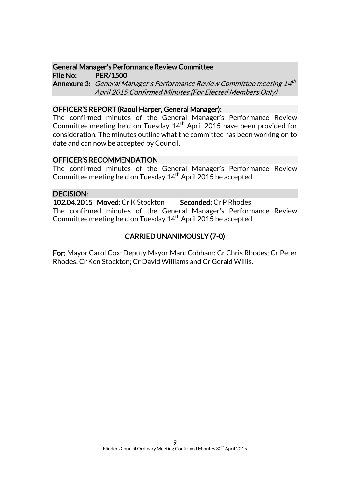#### General Manager's Performance Review Committee File No: PER/1500

**Annexure 3:** General Manager's Performance Review Committee meeting 14<sup>th</sup> April 2015 Confirmed Minutes (For Elected Members Only)

### OFFICER'S REPORT (Raoul Harper, General Manager):

The confirmed minutes of the General Manager's Performance Review Committee meeting held on Tuesday  $14<sup>th</sup>$  April 2015 have been provided for consideration. The minutes outline what the committee has been working on to date and can now be accepted by Council.

# OFFICER'S RECOMMENDATION

The confirmed minutes of the General Manager's Performance Review Committee meeting held on Tuesday  $14<sup>th</sup>$  April 2015 be accepted.

# DECISION:

102.04.2015 Moved: Cr K Stockton Seconded: Cr P Rhodes The confirmed minutes of the General Manager's Performance Review Committee meeting held on Tuesday 14<sup>th</sup> April 2015 be accepted.

# CARRIED UNANIMOUSLY (7-0)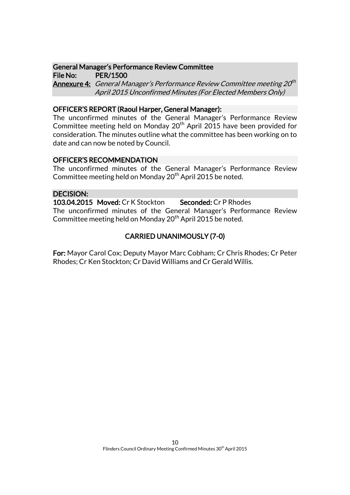#### General Manager's Performance Review Committee File No: PER/1500

**Annexure 4:** General Manager's Performance Review Committee meeting 20<sup>th</sup> April 2015 Unconfirmed Minutes (For Elected Members Only)

### OFFICER'S REPORT (Raoul Harper, General Manager):

The unconfirmed minutes of the General Manager's Performance Review Committee meeting held on Monday  $20<sup>th</sup>$  April 2015 have been provided for consideration. The minutes outline what the committee has been working on to date and can now be noted by Council.

### OFFICER'S RECOMMENDATION

The unconfirmed minutes of the General Manager's Performance Review Committee meeting held on Monday 20<sup>th</sup> April 2015 be noted.

### DECISION:

103.04.2015 Moved: Cr K Stockton Seconded: Cr P Rhodes The unconfirmed minutes of the General Manager's Performance Review Committee meeting held on Monday 20<sup>th</sup> April 2015 be noted.

# CARRIED UNANIMOUSLY (7-0)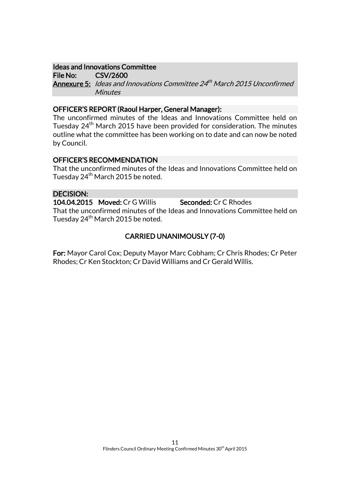#### Ideas and Innovations Committee

File No: CSV/2600 **Annexure 5:** Ideas and Innovations Committee 24<sup>th</sup> March 2015 Unconfirmed **Minutes** 

#### OFFICER'S REPORT (Raoul Harper, General Manager):

The unconfirmed minutes of the Ideas and Innovations Committee held on Tuesday 24<sup>th</sup> March 2015 have been provided for consideration. The minutes outline what the committee has been working on to date and can now be noted by Council.

### OFFICER'S RECOMMENDATION

That the unconfirmed minutes of the Ideas and Innovations Committee held on Tuesday 24<sup>th</sup> March 2015 be noted.

# DECISION:

104.04.2015 Moved: Cr G Willis Seconded: Cr C Rhodes That the unconfirmed minutes of the Ideas and Innovations Committee held on Tuesday 24<sup>th</sup> March 2015 be noted.

# CARRIED UNANIMOUSLY (7-0)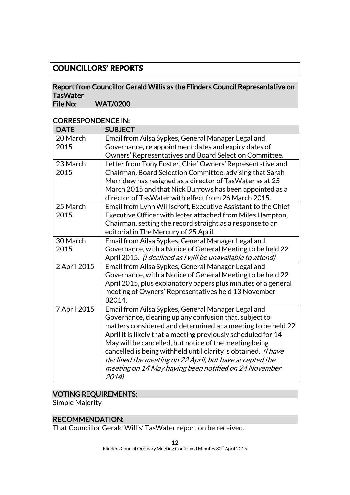# **COUNCILLORS' REPORTS**

# Report from Councillor Gerald Willis as the Flinders Council Representative on **TasWater**

File No: WAT/0200

| CURREJFUNDENCE IIN. |                                                                |
|---------------------|----------------------------------------------------------------|
| <b>DATE</b>         | <b>SUBJECT</b>                                                 |
| 20 March            | Email from Ailsa Sypkes, General Manager Legal and             |
| 2015                | Governance, re appointment dates and expiry dates of           |
|                     | Owners' Representatives and Board Selection Committee.         |
| 23 March            | Letter from Tony Foster, Chief Owners' Representative and      |
| 2015                | Chairman, Board Selection Committee, advising that Sarah       |
|                     | Merridew has resigned as a director of TasWater as at 25       |
|                     | March 2015 and that Nick Burrows has been appointed as a       |
|                     | director of TasWater with effect from 26 March 2015.           |
| 25 March            | Email from Lynn Williscroft, Executive Assistant to the Chief  |
| 2015                | Executive Officer with letter attached from Miles Hampton,     |
|                     | Chairman, setting the record straight as a response to an      |
|                     | editorial in The Mercury of 25 April.                          |
| 30 March            | Email from Ailsa Sypkes, General Manager Legal and             |
| 2015                | Governance, with a Notice of General Meeting to be held 22     |
|                     | April 2015. (I declined as I will be unavailable to attend)    |
| 2 April 2015        | Email from Ailsa Sypkes, General Manager Legal and             |
|                     | Governance, with a Notice of General Meeting to be held 22     |
|                     | April 2015, plus explanatory papers plus minutes of a general  |
|                     | meeting of Owners' Representatives held 13 November            |
|                     | 32014.                                                         |
| 7 April 2015        | Email from Ailsa Sypkes, General Manager Legal and             |
|                     | Governance, clearing up any confusion that, subject to         |
|                     | matters considered and determined at a meeting to be held 22   |
|                     | April it is likely that a meeting previously scheduled for 14  |
|                     | May will be cancelled, but notice of the meeting being         |
|                     | cancelled is being withheld until clarity is obtained. (I have |
|                     | declined the meeting on 22 April, but have accepted the        |
|                     | meeting on 14 May having been notified on 24 November          |
|                     | 2014)                                                          |

# CORRESPONDENCE IN:

# VOTING REQUIREMENTS:

Simple Majority

# RECOMMENDATION:

That Councillor Gerald Willis' TasWater report on be received.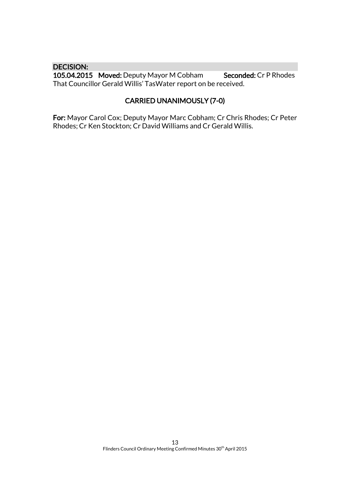#### DECISION:

105.04.2015 Moved: Deputy Mayor M Cobham Seconded: Cr P Rhodes That Councillor Gerald Willis' TasWater report on be received.

# CARRIED UNANIMOUSLY (7-0)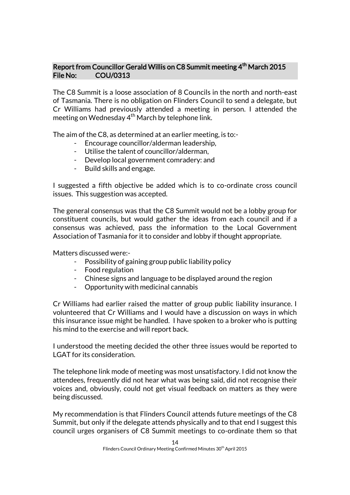# Report from Councillor Gerald Willis on C8 Summit meeting 4<sup>th</sup> March 2015 File No: COU/0313

The C8 Summit is a loose association of 8 Councils in the north and north-east of Tasmania. There is no obligation on Flinders Council to send a delegate, but Cr Williams had previously attended a meeting in person. I attended the meeting on Wednesday  $4<sup>th</sup>$  March by telephone link.

The aim of the C8, as determined at an earlier meeting, is to:-

- Encourage councillor/alderman leadership,
- Utilise the talent of councillor/alderman,
- Develop local government comradery: and
- Build skills and engage.

I suggested a fifth objective be added which is to co-ordinate cross council issues. This suggestion was accepted.

The general consensus was that the C8 Summit would not be a lobby group for constituent councils, but would gather the ideas from each council and if a consensus was achieved, pass the information to the Local Government Association of Tasmania for it to consider and lobby if thought appropriate.

Matters discussed were:-

- Possibility of gaining group public liability policy
- Food regulation
- Chinese signs and language to be displayed around the region
- Opportunity with medicinal cannabis

Cr Williams had earlier raised the matter of group public liability insurance. I volunteered that Cr Williams and I would have a discussion on ways in which this insurance issue might be handled. I have spoken to a broker who is putting his mind to the exercise and will report back.

I understood the meeting decided the other three issues would be reported to LGAT for its consideration.

The telephone link mode of meeting was most unsatisfactory. I did not know the attendees, frequently did not hear what was being said, did not recognise their voices and, obviously, could not get visual feedback on matters as they were being discussed.

My recommendation is that Flinders Council attends future meetings of the C8 Summit, but only if the delegate attends physically and to that end I suggest this council urges organisers of C8 Summit meetings to co-ordinate them so that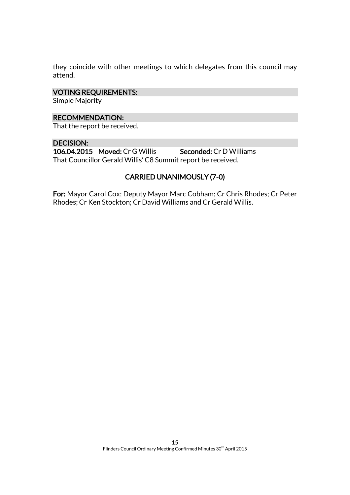they coincide with other meetings to which delegates from this council may attend.

#### VOTING REQUIREMENTS:

Simple Majority

### RECOMMENDATION:

That the report be received.

### DECISION:

106.04.2015 Moved: Cr G Willis Seconded: Cr D Williams That Councillor Gerald Willis' C8 Summit report be received.

# CARRIED UNANIMOUSLY (7-0)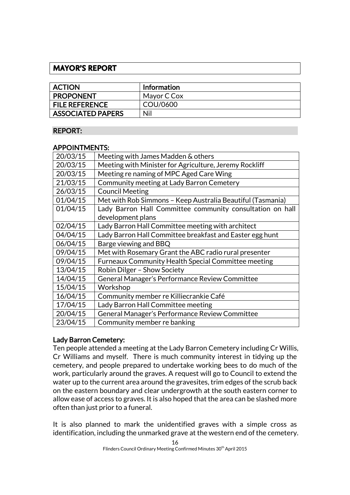# **MAYOR'S REPORT**

| <b>ACTION</b>            | <b>Information</b> |
|--------------------------|--------------------|
| <b>PROPONENT</b>         | Mayor C Cox        |
| <b>FILE REFERENCE</b>    | COU/0600           |
| <b>ASSOCIATED PAPERS</b> | Nil                |

# REPORT:

# APPOINTMENTS:

| 20/03/15 | Meeting with James Madden & others                         |
|----------|------------------------------------------------------------|
| 20/03/15 | Meeting with Minister for Agriculture, Jeremy Rockliff     |
| 20/03/15 | Meeting re naming of MPC Aged Care Wing                    |
| 21/03/15 | Community meeting at Lady Barron Cemetery                  |
| 26/03/15 | <b>Council Meeting</b>                                     |
| 01/04/15 | Met with Rob Simmons - Keep Australia Beautiful (Tasmania) |
| 01/04/15 | Lady Barron Hall Committee community consultation on hall  |
|          | development plans                                          |
| 02/04/15 | Lady Barron Hall Committee meeting with architect          |
| 04/04/15 | Lady Barron Hall Committee breakfast and Easter egg hunt   |
| 06/04/15 | Barge viewing and BBQ                                      |
| 09/04/15 | Met with Rosemary Grant the ABC radio rural presenter      |
| 09/04/15 | Furneaux Community Health Special Committee meeting        |
| 13/04/15 | Robin Dilger - Show Society                                |
| 14/04/15 | General Manager's Performance Review Committee             |
| 15/04/15 | Workshop                                                   |
| 16/04/15 | Community member re Killiecrankie Café                     |
| 17/04/15 | Lady Barron Hall Committee meeting                         |
| 20/04/15 | General Manager's Performance Review Committee             |
| 23/04/15 | Community member re banking                                |

# Lady Barron Cemetery:

Ten people attended a meeting at the Lady Barron Cemetery including Cr Willis, Cr Williams and myself. There is much community interest in tidying up the cemetery, and people prepared to undertake working bees to do much of the work, particularly around the graves. A request will go to Council to extend the water up to the current area around the gravesites, trim edges of the scrub back on the eastern boundary and clear undergrowth at the south eastern corner to allow ease of access to graves. It is also hoped that the area can be slashed more often than just prior to a funeral.

It is also planned to mark the unidentified graves with a simple cross as identification, including the unmarked grave at the western end of the cemetery.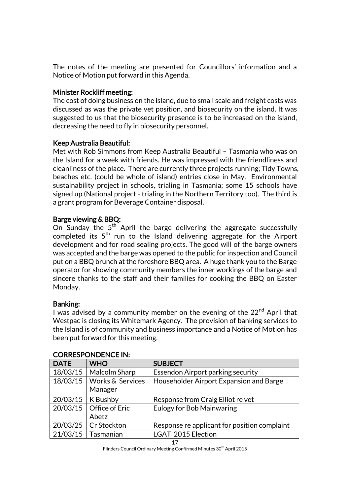The notes of the meeting are presented for Councillors' information and a Notice of Motion put forward in this Agenda.

# Minister Rockliff meeting:

The cost of doing business on the island, due to small scale and freight costs was discussed as was the private vet position, and biosecurity on the island. It was suggested to us that the biosecurity presence is to be increased on the island, decreasing the need to fly in biosecurity personnel.

# Keep Australia Beautiful:

Met with Rob Simmons from Keep Australia Beautiful – Tasmania who was on the Island for a week with friends. He was impressed with the friendliness and cleanliness of the place. There are currently three projects running; Tidy Towns, beaches etc. (could be whole of island) entries close in May. Environmental sustainability project in schools, trialing in Tasmania; some 15 schools have signed up (National project - trialing in the Northern Territory too). The third is a grant program for Beverage Container disposal.

# Barge viewing & BBQ:

On Sunday the  $5^{\text{th}}$  April the barge delivering the aggregate successfully completed its  $5^{\text{th}}$  run to the Island delivering aggregate for the Airport development and for road sealing projects. The good will of the barge owners was accepted and the barge was opened to the public for inspection and Council put on a BBQ brunch at the foreshore BBQ area. A huge thank you to the Barge operator for showing community members the inner workings of the barge and sincere thanks to the staff and their families for cooking the BBQ on Easter Monday.

# Banking:

I was advised by a community member on the evening of the  $22<sup>nd</sup>$  April that Westpac is closing its Whitemark Agency. The provision of banking services to the Island is of community and business importance and a Notice of Motion has been put forward for this meeting.

| <b>DATE</b>         | <b>WHO</b>                  | <b>SUBJECT</b>                               |
|---------------------|-----------------------------|----------------------------------------------|
| 18/03/15            | Malcolm Sharp               | Essendon Airport parking security            |
|                     | 18/03/15   Works & Services | Householder Airport Expansion and Barge      |
|                     | Manager                     |                                              |
| 20/03/15   K Bushby |                             | Response from Craig Elliot re vet            |
|                     | 20/03/15   Office of Eric   | <b>Eulogy for Bob Mainwaring</b>             |
|                     | Abetz                       |                                              |
|                     | 20/03/25   Cr Stockton      | Response re applicant for position complaint |
|                     | $21/03/15$   Tasmanian      | <b>LGAT 2015 Election</b>                    |

# CORRESPONDENCE IN:

17 Flinders Council Ordinary Meeting Confirmed Minutes 30<sup>th</sup> April 2015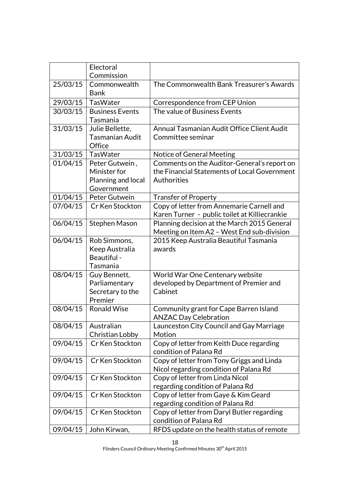|          | Electoral<br>Commission                                            |                                                                                                            |
|----------|--------------------------------------------------------------------|------------------------------------------------------------------------------------------------------------|
| 25/03/15 | Commonwealth<br><b>Bank</b>                                        | The Commonwealth Bank Treasurer's Awards                                                                   |
| 29/03/15 | TasWater                                                           | Correspondence from CEP Union                                                                              |
| 30/03/15 | <b>Business Events</b><br>Tasmania                                 | The value of Business Events                                                                               |
| 31/03/15 | Julie Bellette,<br><b>Tasmanian Audit</b><br>Office                | Annual Tasmanian Audit Office Client Audit<br>Committee seminar                                            |
| 31/03/15 | TasWater                                                           | Notice of General Meeting                                                                                  |
| 01/04/15 | Peter Gutwein,<br>Minister for<br>Planning and local<br>Government | Comments on the Auditor-General's report on<br>the Financial Statements of Local Government<br>Authorities |
| 01/04/15 | Peter Gutwein                                                      | <b>Transfer of Property</b>                                                                                |
| 07/04/15 | Cr Ken Stockton                                                    | Copy of letter from Annemarie Carnell and<br>Karen Turner - public toilet at Killiecrankie                 |
| 06/04/15 | <b>Stephen Mason</b>                                               | Planning decision at the March 2015 General<br>Meeting on Item A2 - West End sub-division                  |
| 06/04/15 | Rob Simmons,<br>Keep Australia<br>Beautiful -<br>Tasmania          | 2015 Keep Australia Beautiful Tasmania<br>awards                                                           |
| 08/04/15 | Guy Bennett,<br>Parliamentary<br>Secretary to the<br>Premier       | World War One Centenary website<br>developed by Department of Premier and<br>Cabinet                       |
| 08/04/15 | <b>Ronald Wise</b>                                                 | Community grant for Cape Barren Island<br><b>ANZAC Day Celebration</b>                                     |
|          | 08/04/15 Australian<br>Christian Lobby                             | Launceston City Council and Gay Marriage<br>Motion                                                         |
| 09/04/15 | Cr Ken Stockton                                                    | Copy of letter from Keith Duce regarding<br>condition of Palana Rd                                         |
| 09/04/15 | Cr Ken Stockton                                                    | Copy of letter from Tony Griggs and Linda<br>Nicol regarding condition of Palana Rd                        |
| 09/04/15 | Cr Ken Stockton                                                    | Copy of letter from Linda Nicol<br>regarding condition of Palana Rd                                        |
| 09/04/15 | Cr Ken Stockton                                                    | Copy of letter from Gaye & Kim Geard<br>regarding condition of Palana Rd                                   |
| 09/04/15 | Cr Ken Stockton                                                    | Copy of letter from Daryl Butler regarding<br>condition of Palana Rd                                       |
| 09/04/15 | John Kirwan,                                                       | RFDS update on the health status of remote                                                                 |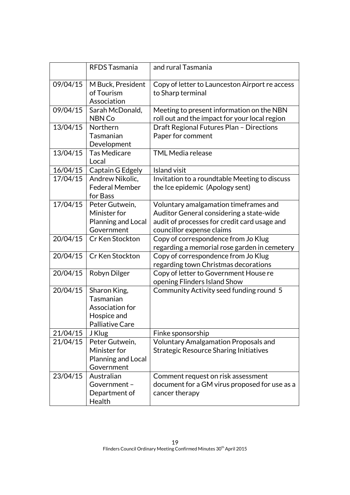|          | RFDS Tasmania                            | and rural Tasmania                                                               |
|----------|------------------------------------------|----------------------------------------------------------------------------------|
| 09/04/15 | M Buck, President<br>of Tourism          | Copy of letter to Launceston Airport re access<br>to Sharp terminal              |
|          | Association                              |                                                                                  |
| 09/04/15 | Sarah McDonald,                          | Meeting to present information on the NBN                                        |
|          | NBN Co                                   | roll out and the impact for your local region                                    |
| 13/04/15 | Northern                                 | Draft Regional Futures Plan - Directions                                         |
|          | Tasmanian                                | Paper for comment                                                                |
|          | Development                              |                                                                                  |
| 13/04/15 | <b>Tas Medicare</b>                      | <b>TML Media release</b>                                                         |
|          | Local                                    |                                                                                  |
| 16/04/15 | Captain G Edgely                         | <b>Island visit</b>                                                              |
| 17/04/15 | Andrew Nikolic,<br><b>Federal Member</b> | Invitation to a roundtable Meeting to discuss<br>the Ice epidemic (Apology sent) |
|          | for Bass                                 |                                                                                  |
| 17/04/15 | Peter Gutwein,                           | Voluntary amalgamation timeframes and                                            |
|          | Minister for                             | Auditor General considering a state-wide                                         |
|          | Planning and Local                       | audit of processes for credit card usage and                                     |
|          | Government                               | councillor expense claims                                                        |
| 20/04/15 | Cr Ken Stockton                          | Copy of correspondence from Jo Klug                                              |
|          |                                          | regarding a memorial rose garden in cemetery                                     |
| 20/04/15 | Cr Ken Stockton                          | Copy of correspondence from Jo Klug                                              |
|          |                                          | regarding town Christmas decorations                                             |
| 20/04/15 | Robyn Dilger                             | Copy of letter to Government House re                                            |
|          |                                          | opening Flinders Island Show                                                     |
| 20/04/15 | Sharon King,                             | Community Activity seed funding round 5                                          |
|          | Tasmanian<br>Association for             |                                                                                  |
|          | Hospice and                              |                                                                                  |
|          | Palliative Care                          |                                                                                  |
| 21/04/15 | J Klug                                   | Finke sponsorship                                                                |
| 21/04/15 | Peter Gutwein,                           | <b>Voluntary Amalgamation Proposals and</b>                                      |
|          | Minister for                             | <b>Strategic Resource Sharing Initiatives</b>                                    |
|          | Planning and Local                       |                                                                                  |
|          | Government                               |                                                                                  |
| 23/04/15 | Australian                               | Comment request on risk assessment                                               |
|          | Government-                              | document for a GM virus proposed for use as a                                    |
|          | Department of                            | cancer therapy                                                                   |
|          | Health                                   |                                                                                  |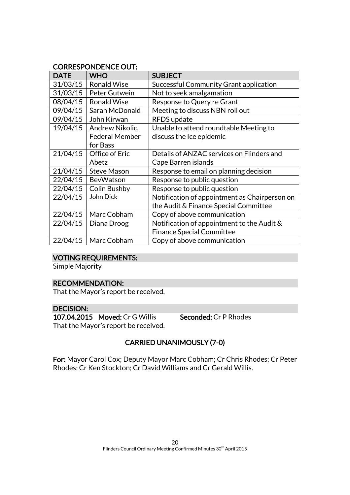# CORRESPONDENCE OUT:

| <b>DATE</b> | <b>WHO</b>            | <b>SUBJECT</b>                                |
|-------------|-----------------------|-----------------------------------------------|
| 31/03/15    | <b>Ronald Wise</b>    | Successful Community Grant application        |
| 31/03/15    | Peter Gutwein         | Not to seek amalgamation                      |
| 08/04/15    | <b>Ronald Wise</b>    | Response to Query re Grant                    |
| 09/04/15    | Sarah McDonald        | Meeting to discuss NBN roll out               |
| 09/04/15    | John Kirwan           | <b>RFDS</b> update                            |
| 19/04/15    | Andrew Nikolic,       | Unable to attend roundtable Meeting to        |
|             | <b>Federal Member</b> | discuss the Ice epidemic                      |
|             | for Bass              |                                               |
| 21/04/15    | Office of Eric        | Details of ANZAC services on Flinders and     |
|             | Abetz                 | Cape Barren islands                           |
| 21/04/15    | <b>Steve Mason</b>    | Response to email on planning decision        |
| 22/04/15    | BevWatson             | Response to public question                   |
| 22/04/15    | <b>Colin Bushby</b>   | Response to public question                   |
| 22/04/15    | John Dick             | Notification of appointment as Chairperson on |
|             |                       | the Audit & Finance Special Committee         |
| 22/04/15    | Marc Cobham           | Copy of above communication                   |
| 22/04/15    | Diana Droog           | Notification of appointment to the Audit &    |
|             |                       | <b>Finance Special Committee</b>              |
| 22/04/15    | Marc Cobham           | Copy of above communication                   |

# VOTING REQUIREMENTS:

Simple Majority

# RECOMMENDATION:

That the Mayor's report be received.

# DECISION:

107.04.2015 Moved: Cr G Willis Seconded: Cr P Rhodes That the Mayor's report be received.

# CARRIED UNANIMOUSLY (7-0)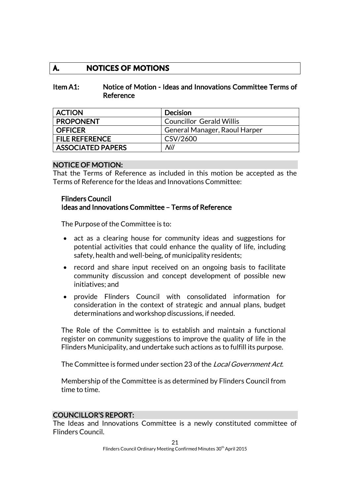# **A. NOTICES OF MOTIONS**

### Item A1: Notice of Motion - Ideas and Innovations Committee Terms of Reference

| <b>ACTION</b>            | Decision                        |
|--------------------------|---------------------------------|
| <b>PROPONENT</b>         | <b>Councillor Gerald Willis</b> |
| <b>OFFICER</b>           | General Manager, Raoul Harper   |
| <b>FILE REFERENCE</b>    | CSV/2600                        |
| <b>ASSOCIATED PAPERS</b> | Nil                             |

#### NOTICE OF MOTION:

That the Terms of Reference as included in this motion be accepted as the Terms of Reference for the Ideas and Innovations Committee:

#### Flinders Council Ideas and Innovations Committee – Terms of Reference

The Purpose of the Committee is to:

- act as a clearing house for community ideas and suggestions for potential activities that could enhance the quality of life, including safety, health and well-being, of municipality residents;
- record and share input received on an ongoing basis to facilitate community discussion and concept development of possible new initiatives; and
- provide Flinders Council with consolidated information for consideration in the context of strategic and annual plans, budget determinations and workshop discussions, if needed.

The Role of the Committee is to establish and maintain a functional register on community suggestions to improve the quality of life in the Flinders Municipality, and undertake such actions as to fulfill its purpose.

The Committee is formed under section 23 of the Local Government Act.

Membership of the Committee is as determined by Flinders Council from time to time.

# COUNCILLOR'S REPORT:

The Ideas and Innovations Committee is a newly constituted committee of Flinders Council.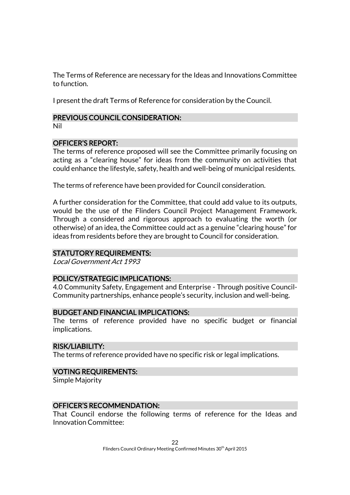The Terms of Reference are necessary for the Ideas and Innovations Committee to function.

I present the draft Terms of Reference for consideration by the Council.

# PREVIOUS COUNCIL CONSIDERATION:

Nil

# OFFICER'S REPORT:

The terms of reference proposed will see the Committee primarily focusing on acting as a "clearing house" for ideas from the community on activities that could enhance the lifestyle, safety, health and well-being of municipal residents.

The terms of reference have been provided for Council consideration.

A further consideration for the Committee, that could add value to its outputs, would be the use of the Flinders Council Project Management Framework. Through a considered and rigorous approach to evaluating the worth (or otherwise) of an idea, the Committee could act as a genuine "clearing house" for ideas from residents before they are brought to Council for consideration.

# STATUTORY REQUIREMENTS:

Local Government Act 1993

# POLICY/STRATEGIC IMPLICATIONS:

4.0 Community Safety, Engagement and Enterprise - Through positive Council-Community partnerships, enhance people's security, inclusion and well-being.

# BUDGET AND FINANCIAL IMPLICATIONS:

The terms of reference provided have no specific budget or financial implications.

### RISK/LIABILITY:

The terms of reference provided have no specific risk or legal implications.

# VOTING REQUIREMENTS:

Simple Majority

### OFFICER'S RECOMMENDATION:

That Council endorse the following terms of reference for the Ideas and Innovation Committee: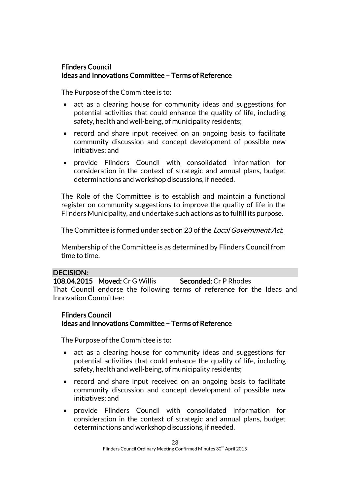# Flinders Council Ideas and Innovations Committee – Terms of Reference

The Purpose of the Committee is to:

- act as a clearing house for community ideas and suggestions for potential activities that could enhance the quality of life, including safety, health and well-being, of municipality residents;
- record and share input received on an ongoing basis to facilitate community discussion and concept development of possible new initiatives; and
- provide Flinders Council with consolidated information for consideration in the context of strategic and annual plans, budget determinations and workshop discussions, if needed.

The Role of the Committee is to establish and maintain a functional register on community suggestions to improve the quality of life in the Flinders Municipality, and undertake such actions as to fulfill its purpose.

The Committee is formed under section 23 of the Local Government Act.

Membership of the Committee is as determined by Flinders Council from time to time.

# DECISION:

108.04.2015 Moved: Cr G Willis Seconded: Cr P Rhodes That Council endorse the following terms of reference for the Ideas and Innovation Committee:

# Flinders Council

# Ideas and Innovations Committee – Terms of Reference

The Purpose of the Committee is to:

- act as a clearing house for community ideas and suggestions for potential activities that could enhance the quality of life, including safety, health and well-being, of municipality residents;
- record and share input received on an ongoing basis to facilitate community discussion and concept development of possible new initiatives; and
- provide Flinders Council with consolidated information for consideration in the context of strategic and annual plans, budget determinations and workshop discussions, if needed.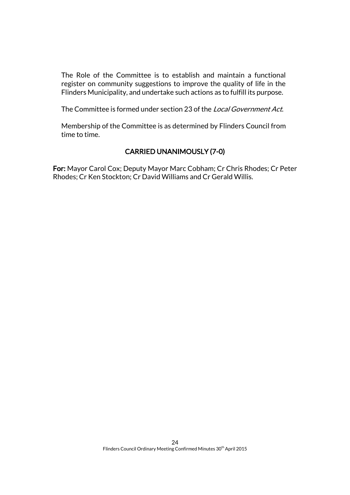The Role of the Committee is to establish and maintain a functional register on community suggestions to improve the quality of life in the Flinders Municipality, and undertake such actions as to fulfill its purpose.

The Committee is formed under section 23 of the *Local Government Act.* 

Membership of the Committee is as determined by Flinders Council from time to time.

# CARRIED UNANIMOUSLY (7-0)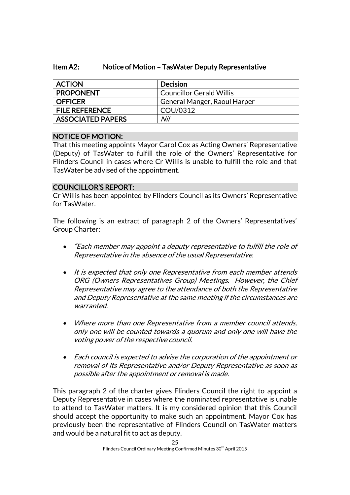# Item A2: Notice of Motion – TasWater Deputy Representative

| <b>ACTION</b>         | <b>Decision</b>                 |
|-----------------------|---------------------------------|
| <b>PROPONENT</b>      | <b>Councillor Gerald Willis</b> |
| OFFICER               | General Manger, Raoul Harper    |
| <b>FILE REFERENCE</b> | COU/0312                        |
| ASSOCIATED PAPERS     | Nil                             |

# NOTICE OF MOTION:

That this meeting appoints Mayor Carol Cox as Acting Owners' Representative (Deputy) of TasWater to fulfill the role of the Owners' Representative for Flinders Council in cases where Cr Willis is unable to fulfill the role and that TasWater be advised of the appointment.

# COUNCILLOR'S REPORT:

Cr Willis has been appointed by Flinders Council as its Owners' Representative for TasWater.

The following is an extract of paragraph 2 of the Owners' Representatives' Group Charter:

- "Each member may appoint a deputy representative to fulfill the role of Representative in the absence of the usual Representative.
- It is expected that only one Representative from each member attends ORG (Owners Representatives Group) Meetings. However, the Chief Representative may agree to the attendance of both the Representative and Deputy Representative at the same meeting if the circumstances are warranted.
- Where more than one Representative from a member council attends, only one will be counted towards a quorum and only one will have the voting power of the respective council.
- Each council is expected to advise the corporation of the appointment or removal of its Representative and/or Deputy Representative as soon as possible after the appointment or removal is made.

This paragraph 2 of the charter gives Flinders Council the right to appoint a Deputy Representative in cases where the nominated representative is unable to attend to TasWater matters. It is my considered opinion that this Council should accept the opportunity to make such an appointment. Mayor Cox has previously been the representative of Flinders Council on TasWater matters and would be a natural fit to act as deputy.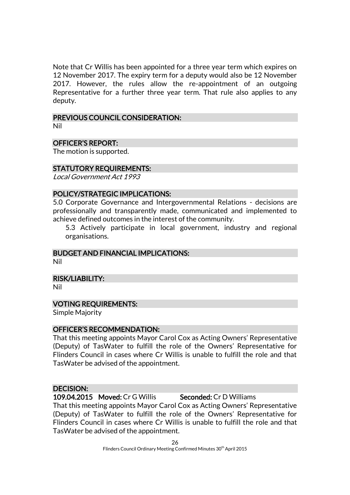Note that Cr Willis has been appointed for a three year term which expires on 12 November 2017. The expiry term for a deputy would also be 12 November 2017. However, the rules allow the re-appointment of an outgoing Representative for a further three year term. That rule also applies to any deputy.

# PREVIOUS COUNCIL CONSIDERATION:

Nil

# OFFICER'S REPORT:

The motion is supported.

# STATUTORY REQUIREMENTS:

Local Government Act 1993

# POLICY/STRATEGIC IMPLICATIONS:

5.0 Corporate Governance and Intergovernmental Relations - decisions are professionally and transparently made, communicated and implemented to achieve defined outcomes in the interest of the community.

5.3 Actively participate in local government, industry and regional organisations.

### BUDGET AND FINANCIAL IMPLICATIONS:

Nil

### RISK/LIABILITY:

Nil

### VOTING REQUIREMENTS:

Simple Majority

### OFFICER'S RECOMMENDATION:

That this meeting appoints Mayor Carol Cox as Acting Owners' Representative (Deputy) of TasWater to fulfill the role of the Owners' Representative for Flinders Council in cases where Cr Willis is unable to fulfill the role and that TasWater be advised of the appointment.

# DECISION:

109.04.2015 Moved: Cr G Willis Seconded: Cr D Williams

That this meeting appoints Mayor Carol Cox as Acting Owners' Representative (Deputy) of TasWater to fulfill the role of the Owners' Representative for Flinders Council in cases where Cr Willis is unable to fulfill the role and that TasWater be advised of the appointment.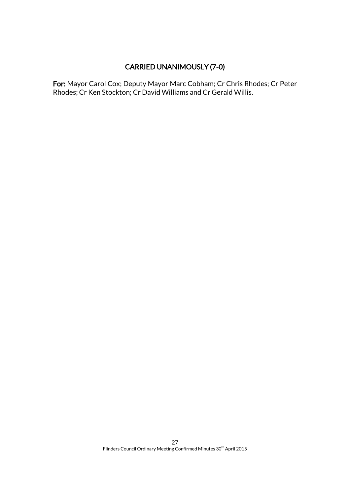# CARRIED UNANIMOUSLY (7-0)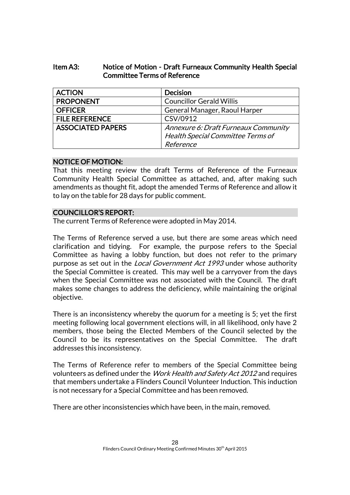# Item A3: Notice of Motion - Draft Furneaux Community Health Special Committee Terms of Reference

| <b>ACTION</b>            | <b>Decision</b>                          |
|--------------------------|------------------------------------------|
| <b>PROPONENT</b>         | <b>Councillor Gerald Willis</b>          |
| <b>OFFICER</b>           | General Manager, Raoul Harper            |
| <b>FILE REFERENCE</b>    | CSV/0912                                 |
| <b>ASSOCIATED PAPERS</b> | Annexure 6: Draft Furneaux Community     |
|                          | <b>Health Special Committee Terms of</b> |
|                          | Reference                                |

# NOTICE OF MOTION:

That this meeting review the draft Terms of Reference of the Furneaux Community Health Special Committee as attached, and, after making such amendments as thought fit, adopt the amended Terms of Reference and allow it to lay on the table for 28 days for public comment.

# COUNCILLOR'S REPORT:

The current Terms of Reference were adopted in May 2014.

The Terms of Reference served a use, but there are some areas which need clarification and tidying. For example, the purpose refers to the Special Committee as having a lobby function, but does not refer to the primary purpose as set out in the *Local Government Act 1993* under whose authority the Special Committee is created. This may well be a carryover from the days when the Special Committee was not associated with the Council. The draft makes some changes to address the deficiency, while maintaining the original objective.

There is an inconsistency whereby the quorum for a meeting is 5; yet the first meeting following local government elections will, in all likelihood, only have 2 members, those being the Elected Members of the Council selected by the Council to be its representatives on the Special Committee. The draft addresses this inconsistency.

The Terms of Reference refer to members of the Special Committee being volunteers as defined under the Work Health and Safety Act 2012 and requires that members undertake a Flinders Council Volunteer Induction. This induction is not necessary for a Special Committee and has been removed.

There are other inconsistencies which have been, in the main, removed.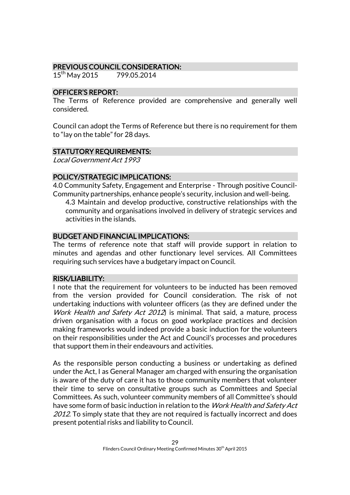# PREVIOUS COUNCIL CONSIDERATION:

15<sup>th</sup> May 2015 799.05.2014

# OFFICER'S REPORT:

The Terms of Reference provided are comprehensive and generally well considered.

Council can adopt the Terms of Reference but there is no requirement for them to "lay on the table" for 28 days.

# STATUTORY REQUIREMENTS:

Local Government Act 1993

# POLICY/STRATEGIC IMPLICATIONS:

4.0 Community Safety, Engagement and Enterprise - Through positive Council-Community partnerships, enhance people's security, inclusion and well-being.

4.3 Maintain and develop productive, constructive relationships with the community and organisations involved in delivery of strategic services and activities in the islands.

# BUDGET AND FINANCIAL IMPLICATIONS:

The terms of reference note that staff will provide support in relation to minutes and agendas and other functionary level services. All Committees requiring such services have a budgetary impact on Council.

# RISK/LIABILITY:

I note that the requirement for volunteers to be inducted has been removed from the version provided for Council consideration. The risk of not undertaking inductions with volunteer officers (as they are defined under the Work Health and Safety Act 2012) is minimal. That said, a mature, process driven organisation with a focus on good workplace practices and decision making frameworks would indeed provide a basic induction for the volunteers on their responsibilities under the Act and Council's processes and procedures that support them in their endeavours and activities.

As the responsible person conducting a business or undertaking as defined under the Act, I as General Manager am charged with ensuring the organisation is aware of the duty of care it has to those community members that volunteer their time to serve on consultative groups such as Committees and Special Committees. As such, volunteer community members of all Committee's should have some form of basic induction in relation to the *Work Health and Safety Act* 2012. To simply state that they are not required is factually incorrect and does present potential risks and liability to Council.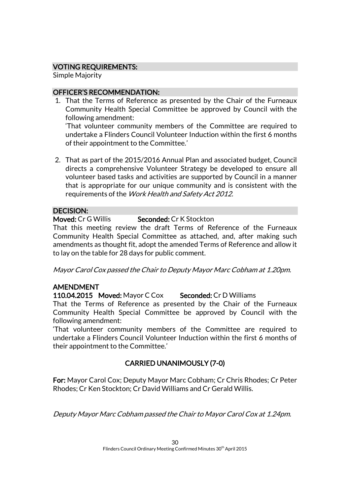# VOTING REQUIREMENTS:

Simple Majority

# OFFICER'S RECOMMENDATION:

1. That the Terms of Reference as presented by the Chair of the Furneaux Community Health Special Committee be approved by Council with the following amendment:

'That volunteer community members of the Committee are required to undertake a Flinders Council Volunteer Induction within the first 6 months of their appointment to the Committee.'

2. That as part of the 2015/2016 Annual Plan and associated budget, Council directs a comprehensive Volunteer Strategy be developed to ensure all volunteer based tasks and activities are supported by Council in a manner that is appropriate for our unique community and is consistent with the requirements of the Work Health and Safety Act 2012.

# DECISION:

# Moved: Cr G Willis Seconded: Cr K Stockton

That this meeting review the draft Terms of Reference of the Furneaux Community Health Special Committee as attached, and, after making such amendments as thought fit, adopt the amended Terms of Reference and allow it to lay on the table for 28 days for public comment.

Mayor Carol Cox passed the Chair to Deputy Mayor Marc Cobham at 1.20pm.

# AMENDMENT

110.04.2015 Moved: Mayor C Cox Seconded: Cr D Williams

That the Terms of Reference as presented by the Chair of the Furneaux Community Health Special Committee be approved by Council with the following amendment:

'That volunteer community members of the Committee are required to undertake a Flinders Council Volunteer Induction within the first 6 months of their appointment to the Committee.'

# CARRIED UNANIMOUSLY (7-0)

For: Mayor Carol Cox; Deputy Mayor Marc Cobham; Cr Chris Rhodes; Cr Peter Rhodes; Cr Ken Stockton; Cr David Williams and Cr Gerald Willis.

Deputy Mayor Marc Cobham passed the Chair to Mayor Carol Cox at 1.24pm.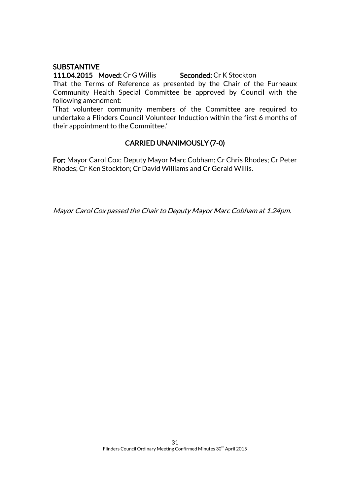# **SUBSTANTIVE**

111.04.2015 Moved: Cr G Willis Seconded: Cr K Stockton That the Terms of Reference as presented by the Chair of the Furneaux Community Health Special Committee be approved by Council with the following amendment:

'That volunteer community members of the Committee are required to undertake a Flinders Council Volunteer Induction within the first 6 months of their appointment to the Committee.'

# CARRIED UNANIMOUSLY (7-0)

For: Mayor Carol Cox; Deputy Mayor Marc Cobham; Cr Chris Rhodes; Cr Peter Rhodes; Cr Ken Stockton; Cr David Williams and Cr Gerald Willis.

Mayor Carol Cox passed the Chair to Deputy Mayor Marc Cobham at 1.24pm.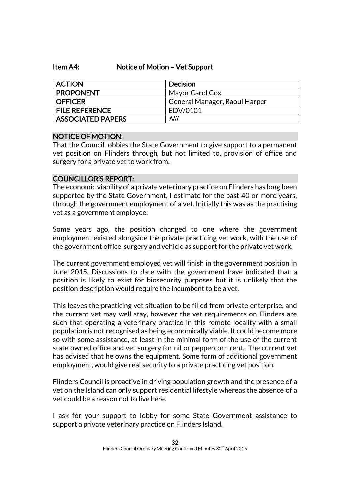### Item A4: Notice of Motion – Vet Support

| <b>ACTION</b>            | <b>Decision</b>               |
|--------------------------|-------------------------------|
| <b>PROPONENT</b>         | Mayor Carol Cox               |
| <b>OFFICER</b>           | General Manager, Raoul Harper |
| <b>FILE REFERENCE</b>    | EDV/0101                      |
| <b>ASSOCIATED PAPERS</b> | Nil                           |

### NOTICE OF MOTION:

That the Council lobbies the State Government to give support to a permanent vet position on Flinders through, but not limited to, provision of office and surgery for a private vet to work from.

### COUNCILLOR'S REPORT:

The economic viability of a private veterinary practice on Flinders has long been supported by the State Government, I estimate for the past 40 or more years, through the government employment of a vet. Initially this was as the practising vet as a government employee.

Some years ago, the position changed to one where the government employment existed alongside the private practicing vet work, with the use of the government office, surgery and vehicle as support for the private vet work.

The current government employed vet will finish in the government position in June 2015. Discussions to date with the government have indicated that a position is likely to exist for biosecurity purposes but it is unlikely that the position description would require the incumbent to be a vet.

This leaves the practicing vet situation to be filled from private enterprise, and the current vet may well stay, however the vet requirements on Flinders are such that operating a veterinary practice in this remote locality with a small population is not recognised as being economically viable. It could become more so with some assistance, at least in the minimal form of the use of the current state owned office and vet surgery for nil or peppercorn rent. The current vet has advised that he owns the equipment. Some form of additional government employment, would give real security to a private practicing vet position.

Flinders Council is proactive in driving population growth and the presence of a vet on the Island can only support residential lifestyle whereas the absence of a vet could be a reason not to live here.

I ask for your support to lobby for some State Government assistance to support a private veterinary practice on Flinders Island.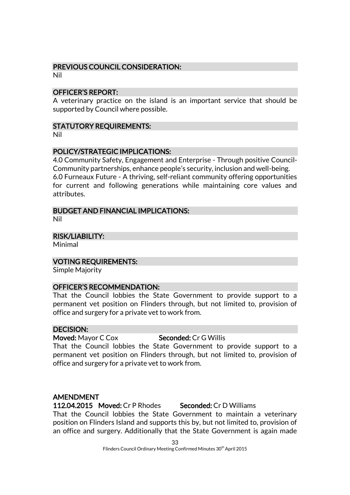# PREVIOUS COUNCIL CONSIDERATION:

Nil

### OFFICER'S REPORT:

A veterinary practice on the island is an important service that should be supported by Council where possible.

# STATUTORY REQUIREMENTS:

Nil

# POLICY/STRATEGIC IMPLICATIONS:

4.0 Community Safety, Engagement and Enterprise - Through positive Council-Community partnerships, enhance people's security, inclusion and well-being. 6.0 Furneaux Future - A thriving, self-reliant community offering opportunities for current and following generations while maintaining core values and attributes.

# BUDGET AND FINANCIAL IMPLICATIONS:

Nil

RISK/LIABILITY:

Minimal

VOTING REQUIREMENTS:

Simple Majority

### OFFICER'S RECOMMENDATION:

That the Council lobbies the State Government to provide support to a permanent vet position on Flinders through, but not limited to, provision of office and surgery for a private vet to work from.

### DECISION:

Moved: Mayor C Cox Seconded: Cr G Willis

That the Council lobbies the State Government to provide support to a permanent vet position on Flinders through, but not limited to, provision of office and surgery for a private vet to work from.

### AMENDMENT

112.04.2015 Moved: Cr P Rhodes Seconded: Cr D Williams That the Council lobbies the State Government to maintain a veterinary position on Flinders Island and supports this by, but not limited to, provision of an office and surgery. Additionally that the State Government is again made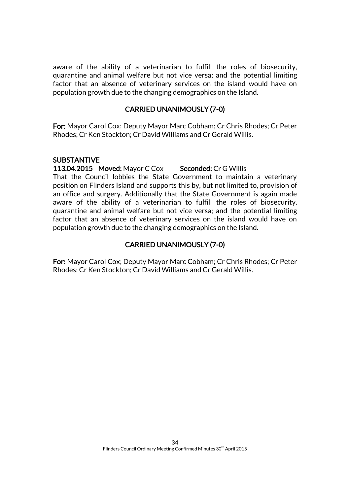aware of the ability of a veterinarian to fulfill the roles of biosecurity, quarantine and animal welfare but not vice versa; and the potential limiting factor that an absence of veterinary services on the island would have on population growth due to the changing demographics on the Island.

### CARRIED UNANIMOUSLY (7-0)

For: Mayor Carol Cox; Deputy Mayor Marc Cobham; Cr Chris Rhodes; Cr Peter Rhodes; Cr Ken Stockton; Cr David Williams and Cr Gerald Willis.

### **SUBSTANTIVE**

#### 113.04.2015 Moved: Mayor C Cox Seconded: Cr G Willis

That the Council lobbies the State Government to maintain a veterinary position on Flinders Island and supports this by, but not limited to, provision of an office and surgery. Additionally that the State Government is again made aware of the ability of a veterinarian to fulfill the roles of biosecurity, quarantine and animal welfare but not vice versa; and the potential limiting factor that an absence of veterinary services on the island would have on population growth due to the changing demographics on the Island.

# CARRIED UNANIMOUSLY (7-0)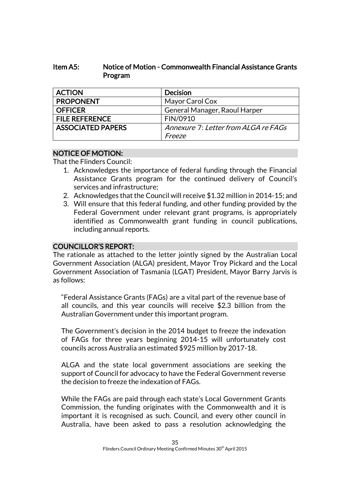# Item A5: Notice of Motion - Commonwealth Financial Assistance Grants Program

| <b>ACTION</b>            | <b>Decision</b>                      |
|--------------------------|--------------------------------------|
| <b>PROPONENT</b>         | Mayor Carol Cox                      |
| <b>OFFICER</b>           | General Manager, Raoul Harper        |
| <b>FILE REFERENCE</b>    | FIN/0910                             |
| <b>ASSOCIATED PAPERS</b> | Annexure 7: Letter from ALGA re FAGs |
|                          | Freeze                               |

# NOTICE OF MOTION:

That the Flinders Council:

- 1. Acknowledges the importance of federal funding through the Financial Assistance Grants program for the continued delivery of Council's services and infrastructure;
- 2. Acknowledges that the Council will receive \$1.32 million in 2014-15; and
- 3. Will ensure that this federal funding, and other funding provided by the Federal Government under relevant grant programs, is appropriately identified as Commonwealth grant funding in council publications, including annual reports.

# COUNCILLOR'S REPORT:

The rationale as attached to the letter jointly signed by the Australian Local Government Association (ALGA) president, Mayor Troy Pickard and the Local Government Association of Tasmania (LGAT) President, Mayor Barry Jarvis is as follows:

"Federal Assistance Grants (FAGs) are a vital part of the revenue base of all councils, and this year councils will receive \$2.3 billion from the Australian Government under this important program.

The Government's decision in the 2014 budget to freeze the indexation of FAGs for three years beginning 2014-15 will unfortunately cost councils across Australia an estimated \$925 million by 2017-18.

ALGA and the state local government associations are seeking the support of Council for advocacy to have the Federal Government reverse the decision to freeze the indexation of FAGs.

While the FAGs are paid through each state's Local Government Grants Commission, the funding originates with the Commonwealth and it is important it is recognised as such. Council, and every other council in Australia, have been asked to pass a resolution acknowledging the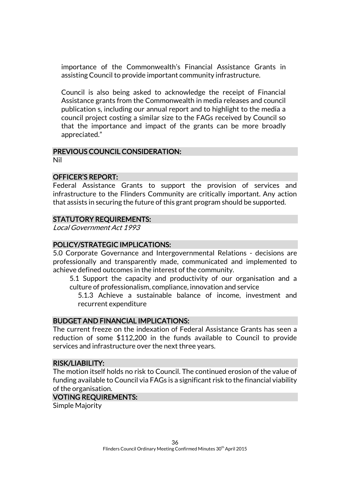importance of the Commonwealth's Financial Assistance Grants in assisting Council to provide important community infrastructure.

Council is also being asked to acknowledge the receipt of Financial Assistance grants from the Commonwealth in media releases and council publication s, including our annual report and to highlight to the media a council project costing a similar size to the FAGs received by Council so that the importance and impact of the grants can be more broadly appreciated."

### PREVIOUS COUNCIL CONSIDERATION:

Nil

#### OFFICER'S REPORT:

Federal Assistance Grants to support the provision of services and infrastructure to the Flinders Community are critically important. Any action that assists in securing the future of this grant program should be supported.

### STATUTORY REQUIREMENTS:

Local Government Act 1993

### POLICY/STRATEGIC IMPLICATIONS:

5.0 Corporate Governance and Intergovernmental Relations - decisions are professionally and transparently made, communicated and implemented to achieve defined outcomes in the interest of the community.

5.1 Support the capacity and productivity of our organisation and a culture of professionalism, compliance, innovation and service

5.1.3 Achieve a sustainable balance of income, investment and recurrent expenditure

### BUDGET AND FINANCIAL IMPLICATIONS:

The current freeze on the indexation of Federal Assistance Grants has seen a reduction of some \$112,200 in the funds available to Council to provide services and infrastructure over the next three years.

#### RISK/LIABILITY:

The motion itself holds no risk to Council. The continued erosion of the value of funding available to Council via FAGs is a significant risk to the financial viability of the organisation.

### VOTING REQUIREMENTS:

Simple Majority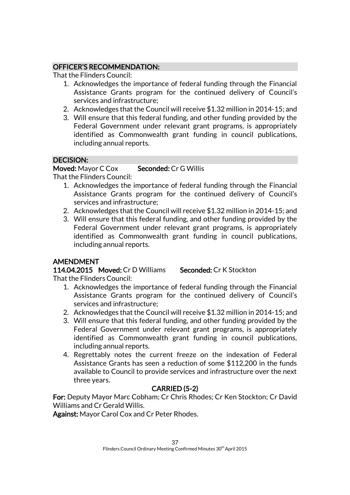# OFFICER'S RECOMMENDATION:

That the Flinders Council:

- 1. Acknowledges the importance of federal funding through the Financial Assistance Grants program for the continued delivery of Council's services and infrastructure;
- 2. Acknowledges that the Council will receive \$1.32 million in 2014-15; and
- 3. Will ensure that this federal funding, and other funding provided by the Federal Government under relevant grant programs, is appropriately identified as Commonwealth grant funding in council publications, including annual reports.

# DECISION:

# Moved: Mayor C Cox Seconded: Cr G Willis

That the Flinders Council:

- 1. Acknowledges the importance of federal funding through the Financial Assistance Grants program for the continued delivery of Council's services and infrastructure;
- 2. Acknowledges that the Council will receive \$1.32 million in 2014-15; and
- 3. Will ensure that this federal funding, and other funding provided by the Federal Government under relevant grant programs, is appropriately identified as Commonwealth grant funding in council publications, including annual reports.

# AMENDMENT

114.04.2015 Moved: Cr D Williams Seconded: Cr K Stockton

That the Flinders Council:

- 1. Acknowledges the importance of federal funding through the Financial Assistance Grants program for the continued delivery of Council's services and infrastructure;
- 2. Acknowledges that the Council will receive \$1.32 million in 2014-15; and
- 3. Will ensure that this federal funding, and other funding provided by the Federal Government under relevant grant programs, is appropriately identified as Commonwealth grant funding in council publications, including annual reports.
- 4. Regrettably notes the current freeze on the indexation of Federal Assistance Grants has seen a reduction of some \$112,200 in the funds available to Council to provide services and infrastructure over the next three years.

# CARRIED (5-2)

For: Deputy Mayor Marc Cobham; Cr Chris Rhodes; Cr Ken Stockton; Cr David Williams and Cr Gerald Willis.

Against: Mayor Carol Cox and Cr Peter Rhodes.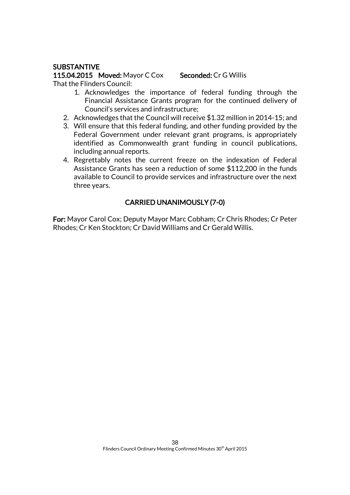# **SUBSTANTIVE**

115.04.2015 Moved: Mayor C Cox Seconded: Cr G Willis That the Flinders Council:

- 1. Acknowledges the importance of federal funding through the Financial Assistance Grants program for the continued delivery of Council's services and infrastructure;
- 2. Acknowledges that the Council will receive \$1.32 million in 2014-15; and
- 3. Will ensure that this federal funding, and other funding provided by the Federal Government under relevant grant programs, is appropriately identified as Commonwealth grant funding in council publications, including annual reports.
- 4. Regrettably notes the current freeze on the indexation of Federal Assistance Grants has seen a reduction of some \$112,200 in the funds available to Council to provide services and infrastructure over the next three years.

# CARRIED UNANIMOUSLY (7-0)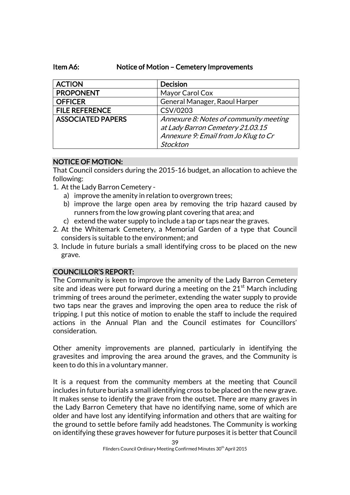# Item A6: Notice of Motion – Cemetery Improvements

| <b>ACTION</b>            | <b>Decision</b>                        |
|--------------------------|----------------------------------------|
| <b>PROPONENT</b>         | Mayor Carol Cox                        |
| <b>OFFICER</b>           | General Manager, Raoul Harper          |
| <b>FILE REFERENCE</b>    | CSV/0203                               |
| <b>ASSOCIATED PAPERS</b> | Annexure 8: Notes of community meeting |
|                          | at Lady Barron Cemetery 21.03.15       |
|                          | Annexure 9: Email from Jo Klug to Cr   |
|                          | <b>Stockton</b>                        |

# NOTICE OF MOTION:

That Council considers during the 2015-16 budget, an allocation to achieve the following:

- 1. At the Lady Barron Cemetery
	- a) improve the amenity in relation to overgrown trees;
	- b) improve the large open area by removing the trip hazard caused by runners from the low growing plant covering that area; and
	- c) extend the water supply to include a tap or taps near the graves.
- 2. At the Whitemark Cemetery, a Memorial Garden of a type that Council considers is suitable to the environment; and
- 3. Include in future burials a small identifying cross to be placed on the new grave.

# COUNCILLOR'S REPORT:

The Community is keen to improve the amenity of the Lady Barron Cemetery site and ideas were put forward during a meeting on the  $21<sup>st</sup>$  March including trimming of trees around the perimeter, extending the water supply to provide two taps near the graves and improving the open area to reduce the risk of tripping. I put this notice of motion to enable the staff to include the required actions in the Annual Plan and the Council estimates for Councillors' consideration.

Other amenity improvements are planned, particularly in identifying the gravesites and improving the area around the graves, and the Community is keen to do this in a voluntary manner.

It is a request from the community members at the meeting that Council includes in future burials a small identifying cross to be placed on the new grave. It makes sense to identify the grave from the outset. There are many graves in the Lady Barron Cemetery that have no identifying name, some of which are older and have lost any identifying information and others that are waiting for the ground to settle before family add headstones. The Community is working on identifying these graves however for future purposes it is better that Council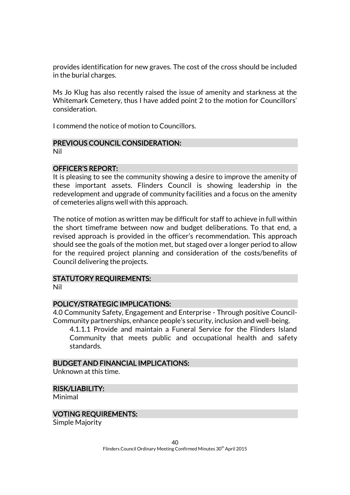provides identification for new graves. The cost of the cross should be included in the burial charges.

Ms Jo Klug has also recently raised the issue of amenity and starkness at the Whitemark Cemetery, thus I have added point 2 to the motion for Councillors' consideration.

I commend the notice of motion to Councillors.

# PREVIOUS COUNCIL CONSIDERATION:

Nil

# OFFICER'S REPORT:

It is pleasing to see the community showing a desire to improve the amenity of these important assets. Flinders Council is showing leadership in the redevelopment and upgrade of community facilities and a focus on the amenity of cemeteries aligns well with this approach.

The notice of motion as written may be difficult for staff to achieve in full within the short timeframe between now and budget deliberations. To that end, a revised approach is provided in the officer's recommendation. This approach should see the goals of the motion met, but staged over a longer period to allow for the required project planning and consideration of the costs/benefits of Council delivering the projects.

# STATUTORY REQUIREMENTS:

Nil

# POLICY/STRATEGIC IMPLICATIONS:

4.0 Community Safety, Engagement and Enterprise - Through positive Council-Community partnerships, enhance people's security, inclusion and well-being.

4.1.1.1 Provide and maintain a Funeral Service for the Flinders Island Community that meets public and occupational health and safety standards.

### BUDGET AND FINANCIAL IMPLICATIONS:

Unknown at this time.

# RISK/LIABILITY:

Minimal

### VOTING REQUIREMENTS:

Simple Majority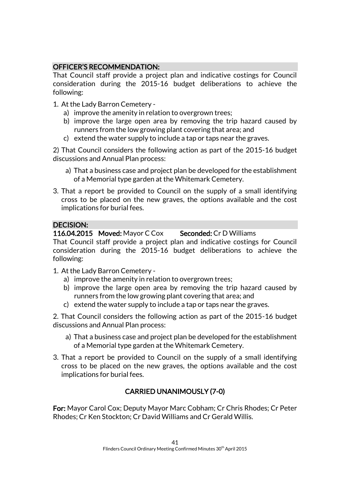# OFFICER'S RECOMMENDATION:

That Council staff provide a project plan and indicative costings for Council consideration during the 2015-16 budget deliberations to achieve the following:

- 1. At the Lady Barron Cemetery
	- a) improve the amenity in relation to overgrown trees;
	- b) improve the large open area by removing the trip hazard caused by runners from the low growing plant covering that area; and
	- c) extend the water supply to include a tap or taps near the graves.

2) That Council considers the following action as part of the 2015-16 budget discussions and Annual Plan process:

- a) That a business case and project plan be developed for the establishment of a Memorial type garden at the Whitemark Cemetery.
- 3. That a report be provided to Council on the supply of a small identifying cross to be placed on the new graves, the options available and the cost implications for burial fees.

# DECISION:

116.04.2015 Moved: Mayor C Cox Seconded: Cr D Williams

That Council staff provide a project plan and indicative costings for Council consideration during the 2015-16 budget deliberations to achieve the following:

- 1. At the Lady Barron Cemetery
	- a) improve the amenity in relation to overgrown trees;
	- b) improve the large open area by removing the trip hazard caused by runners from the low growing plant covering that area; and
	- c) extend the water supply to include a tap or taps near the graves.

2. That Council considers the following action as part of the 2015-16 budget discussions and Annual Plan process:

- a) That a business case and project plan be developed for the establishment of a Memorial type garden at the Whitemark Cemetery.
- 3. That a report be provided to Council on the supply of a small identifying cross to be placed on the new graves, the options available and the cost implications for burial fees.

# CARRIED UNANIMOUSLY (7-0)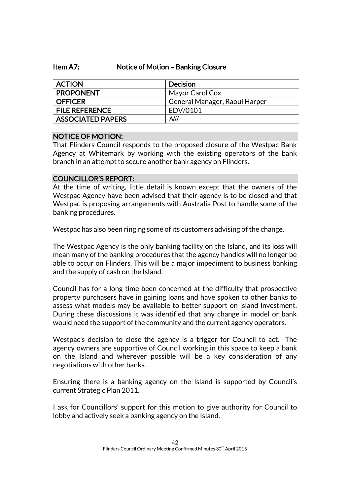### Item A7: Notice of Motion – Banking Closure

| <b>ACTION</b>            | <b>Decision</b>               |
|--------------------------|-------------------------------|
| <b>PROPONENT</b>         | Mayor Carol Cox               |
| <b>OFFICER</b>           | General Manager, Raoul Harper |
| <b>FILE REFERENCE</b>    | EDV/0101                      |
| <b>ASSOCIATED PAPERS</b> | Nil                           |

# NOTICE OF MOTION:

That Flinders Council responds to the proposed closure of the Westpac Bank Agency at Whitemark by working with the existing operators of the bank branch in an attempt to secure another bank agency on Flinders.

# COUNCILLOR'S REPORT:

At the time of writing, little detail is known except that the owners of the Westpac Agency have been advised that their agency is to be closed and that Westpac is proposing arrangements with Australia Post to handle some of the banking procedures.

Westpac has also been ringing some of its customers advising of the change.

The Westpac Agency is the only banking facility on the Island, and its loss will mean many of the banking procedures that the agency handles will no longer be able to occur on Flinders. This will be a major impediment to business banking and the supply of cash on the Island.

Council has for a long time been concerned at the difficulty that prospective property purchasers have in gaining loans and have spoken to other banks to assess what models may be available to better support on island investment. During these discussions it was identified that any change in model or bank would need the support of the community and the current agency operators.

Westpac's decision to close the agency is a trigger for Council to act. The agency owners are supportive of Council working in this space to keep a bank on the Island and wherever possible will be a key consideration of any negotiations with other banks.

Ensuring there is a banking agency on the Island is supported by Council's current Strategic Plan 2011.

I ask for Councillors' support for this motion to give authority for Council to lobby and actively seek a banking agency on the Island.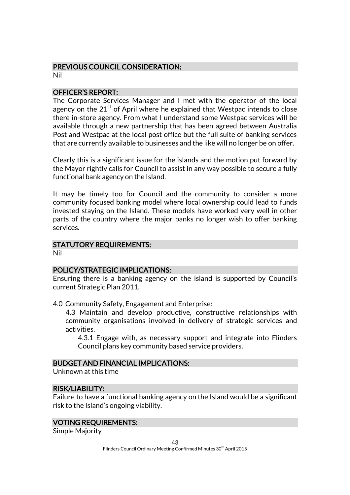# PREVIOUS COUNCIL CONSIDERATION:

Nil

# OFFICER'S REPORT:

The Corporate Services Manager and I met with the operator of the local agency on the  $21<sup>st</sup>$  of April where he explained that Westpac intends to close there in-store agency. From what I understand some Westpac services will be available through a new partnership that has been agreed between Australia Post and Westpac at the local post office but the full suite of banking services that are currently available to businesses and the like will no longer be on offer.

Clearly this is a significant issue for the islands and the motion put forward by the Mayor rightly calls for Council to assist in any way possible to secure a fully functional bank agency on the Island.

It may be timely too for Council and the community to consider a more community focused banking model where local ownership could lead to funds invested staying on the Island. These models have worked very well in other parts of the country where the major banks no longer wish to offer banking services.

# STATUTORY REQUIREMENTS:

Nil

# POLICY/STRATEGIC IMPLICATIONS:

Ensuring there is a banking agency on the island is supported by Council's current Strategic Plan 2011.

4.0 Community Safety, Engagement and Enterprise:

4.3 Maintain and develop productive, constructive relationships with community organisations involved in delivery of strategic services and activities.

4.3.1 Engage with, as necessary support and integrate into Flinders Council plans key community based service providers.

### BUDGET AND FINANCIAL IMPLICATIONS:

Unknown at this time

# RISK/LIABILITY:

Failure to have a functional banking agency on the Island would be a significant risk to the Island's ongoing viability.

### VOTING REQUIREMENTS:

Simple Majority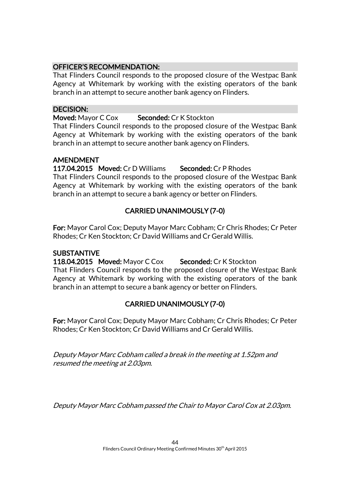# OFFICER'S RECOMMENDATION:

That Flinders Council responds to the proposed closure of the Westpac Bank Agency at Whitemark by working with the existing operators of the bank branch in an attempt to secure another bank agency on Flinders.

# DECISION:

# Moved: Mayor C Cox Seconded: Cr K Stockton

That Flinders Council responds to the proposed closure of the Westpac Bank Agency at Whitemark by working with the existing operators of the bank branch in an attempt to secure another bank agency on Flinders.

# AMENDMENT

117.04.2015 Moved: Cr D Williams Seconded: Cr P Rhodes

That Flinders Council responds to the proposed closure of the Westpac Bank Agency at Whitemark by working with the existing operators of the bank branch in an attempt to secure a bank agency or better on Flinders.

# CARRIED UNANIMOUSLY (7-0)

For: Mayor Carol Cox; Deputy Mayor Marc Cobham; Cr Chris Rhodes; Cr Peter Rhodes; Cr Ken Stockton; Cr David Williams and Cr Gerald Willis.

# **SUBSTANTIVE**

118.04.2015 Moved: Mayor C Cox Seconded: Cr K Stockton That Flinders Council responds to the proposed closure of the Westpac Bank Agency at Whitemark by working with the existing operators of the bank branch in an attempt to secure a bank agency or better on Flinders.

# CARRIED UNANIMOUSLY (7-0)

For: Mayor Carol Cox; Deputy Mayor Marc Cobham; Cr Chris Rhodes; Cr Peter Rhodes; Cr Ken Stockton; Cr David Williams and Cr Gerald Willis.

Deputy Mayor Marc Cobham called a break in the meeting at 1.52pm and resumed the meeting at 2.03pm.

Deputy Mayor Marc Cobham passed the Chair to Mayor Carol Cox at 2.03pm.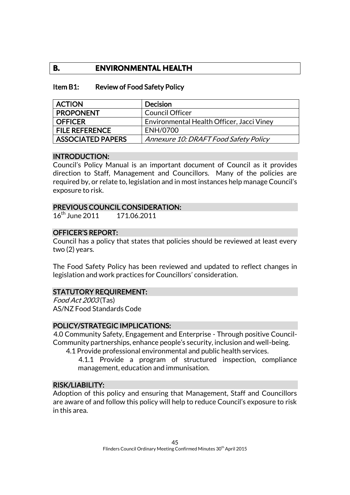# **B. ENVIRONMENTAL HEALTH**

### Item B1: Review of Food Safety Policy

| <b>ACTION</b>            | <b>Decision</b>                           |
|--------------------------|-------------------------------------------|
| <b>PROPONENT</b>         | <b>Council Officer</b>                    |
| <b>OFFICER</b>           | Environmental Health Officer, Jacci Viney |
| <b>FILE REFERENCE</b>    | ENH/0700                                  |
| <b>ASSOCIATED PAPERS</b> | Annexure 10: DRAFT Food Safety Policy     |

### INTRODUCTION:

Council's Policy Manual is an important document of Council as it provides direction to Staff, Management and Councillors. Many of the policies are required by, or relate to, legislation and in most instances help manage Council's exposure to risk.

### PREVIOUS COUNCIL CONSIDERATION:

16<sup>th</sup> June 2011 171.06.2011

### OFFICER'S REPORT:

Council has a policy that states that policies should be reviewed at least every two (2) years.

The Food Safety Policy has been reviewed and updated to reflect changes in legislation and work practices for Councillors' consideration.

# STATUTORY REQUIREMENT:

Food Act 2003 (Tas) AS/NZ Food Standards Code

### POLICY/STRATEGIC IMPLICATIONS:

4.0 Community Safety, Engagement and Enterprise - Through positive Council-Community partnerships, enhance people's security, inclusion and well-being.

4.1 Provide professional environmental and public health services.

4.1.1 Provide a program of structured inspection, compliance management, education and immunisation.

### RISK/LIABILITY:

Adoption of this policy and ensuring that Management, Staff and Councillors are aware of and follow this policy will help to reduce Council's exposure to risk in this area.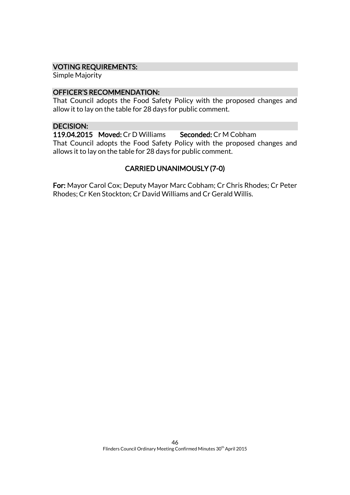### VOTING REQUIREMENTS:

Simple Majority

### OFFICER'S RECOMMENDATION:

That Council adopts the Food Safety Policy with the proposed changes and allow it to lay on the table for 28 days for public comment.

# DECISION:

119.04.2015 Moved: Cr D Williams Seconded: Cr M Cobham That Council adopts the Food Safety Policy with the proposed changes and allows it to lay on the table for 28 days for public comment.

# CARRIED UNANIMOUSLY (7-0)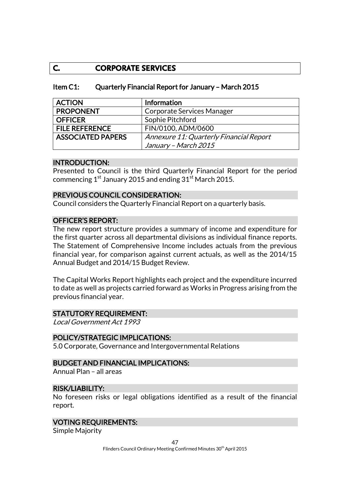# **C. CORPORATE SERVICES**

| Item C1: | Quarterly Financial Report for January - March 2015 |
|----------|-----------------------------------------------------|
|----------|-----------------------------------------------------|

| <b>ACTION</b>            | Information                             |
|--------------------------|-----------------------------------------|
| <b>PROPONENT</b>         | Corporate Services Manager              |
| <b>OFFICER</b>           | Sophie Pitchford                        |
| <b>FILE REFERENCE</b>    | FIN/0100, ADM/0600                      |
| <b>ASSOCIATED PAPERS</b> | Annexure 11: Quarterly Financial Report |
|                          | January – March 2015                    |

### INTRODUCTION:

Presented to Council is the third Quarterly Financial Report for the period commencing  $1<sup>st</sup>$  January 2015 and ending  $31<sup>st</sup>$  March 2015.

### PREVIOUS COUNCIL CONSIDERATION:

Council considers the Quarterly Financial Report on a quarterly basis.

# OFFICER'S REPORT:

The new report structure provides a summary of income and expenditure for the first quarter across all departmental divisions as individual finance reports. The Statement of Comprehensive Income includes actuals from the previous financial year, for comparison against current actuals, as well as the 2014/15 Annual Budget and 2014/15 Budget Review.

The Capital Works Report highlights each project and the expenditure incurred to date as well as projects carried forward as Works in Progress arising from the previous financial year.

### STATUTORY REQUIREMENT:

Local Government Act 1993

### POLICY/STRATEGIC IMPLICATIONS:

5.0 Corporate, Governance and Intergovernmental Relations

### BUDGET AND FINANCIAL IMPLICATIONS:

Annual Plan – all areas

# RISK/LIABILITY:

No foreseen risks or legal obligations identified as a result of the financial report.

### VOTING REQUIREMENTS:

Simple Majority

Flinders Council Ordinary Meeting Confirmed Minutes 30<sup>th</sup> April 2015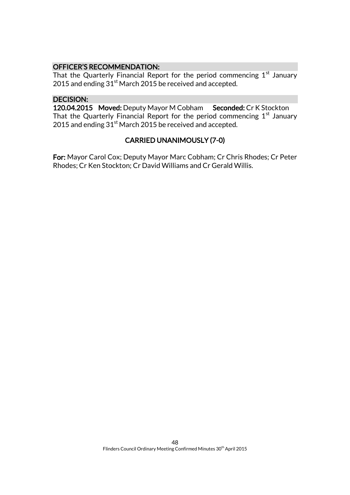# OFFICER'S RECOMMENDATION:

That the Quarterly Financial Report for the period commencing  $1<sup>st</sup>$  January 2015 and ending 31<sup>st</sup> March 2015 be received and accepted.

# DECISION:

120.04.2015 Moved: Deputy Mayor M Cobham Seconded: Cr K Stockton That the Quarterly Financial Report for the period commencing  $1<sup>st</sup>$  January 2015 and ending  $31<sup>st</sup>$  March 2015 be received and accepted.

# CARRIED UNANIMOUSLY (7-0)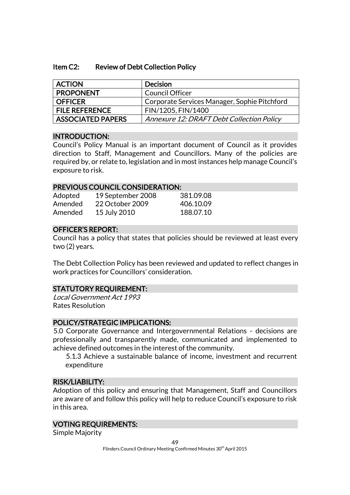#### Item C2: Review of Debt Collection Policy

| <b>ACTION</b>            | <b>Decision</b>                              |
|--------------------------|----------------------------------------------|
| <b>PROPONENT</b>         | Council Officer                              |
| <b>OFFICER</b>           | Corporate Services Manager, Sophie Pitchford |
| <b>FILE REFERENCE</b>    | FIN/1205, FIN/1400                           |
| <b>ASSOCIATED PAPERS</b> | Annexure 12: DRAFT Debt Collection Policy    |

### INTRODUCTION:

Council's Policy Manual is an important document of Council as it provides direction to Staff, Management and Councillors. Many of the policies are required by, or relate to, legislation and in most instances help manage Council's exposure to risk.

#### PREVIOUS COUNCIL CONSIDERATION:

| Adopted | 19 September 2008 | 381.09.08 |
|---------|-------------------|-----------|
| Amended | 22 October 2009   | 406.10.09 |
| Amended | 15 July 2010      | 188.07.10 |

# OFFICER'S REPORT:

Council has a policy that states that policies should be reviewed at least every two (2) years.

The Debt Collection Policy has been reviewed and updated to reflect changes in work practices for Councillors' consideration.

#### STATUTORY REQUIREMENT:

Local Government Act 1993 Rates Resolution

### POLICY/STRATEGIC IMPLICATIONS:

5.0 Corporate Governance and Intergovernmental Relations - decisions are professionally and transparently made, communicated and implemented to achieve defined outcomes in the interest of the community.

5.1.3 Achieve a sustainable balance of income, investment and recurrent expenditure

#### RISK/LIABILITY:

Adoption of this policy and ensuring that Management, Staff and Councillors are aware of and follow this policy will help to reduce Council's exposure to risk in this area.

### VOTING REQUIREMENTS:

Simple Majority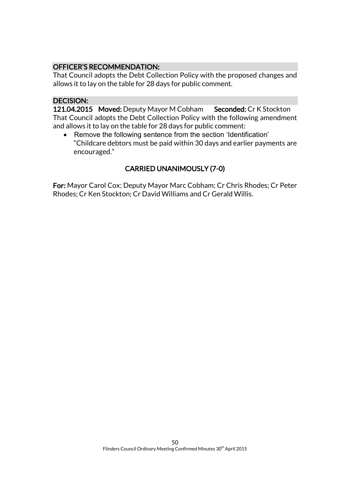# OFFICER'S RECOMMENDATION:

That Council adopts the Debt Collection Policy with the proposed changes and allows it to lay on the table for 28 days for public comment.

# DECISION:

121.04.2015 Moved: Deputy Mayor M Cobham Seconded: Cr K Stockton That Council adopts the Debt Collection Policy with the following amendment and allows it to lay on the table for 28 days for public comment:

• Remove the following sentence from the section 'Identification' "Childcare debtors must be paid within 30 days and earlier payments are encouraged."

# CARRIED UNANIMOUSLY (7-0)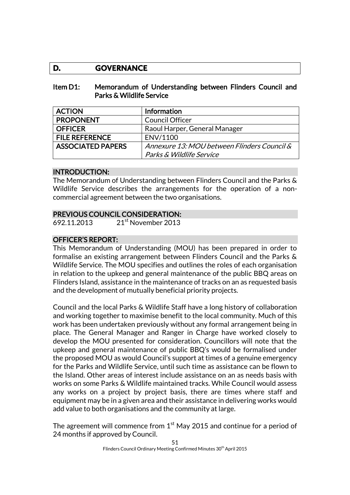# **D. GOVERNANCE**

### Item D1: Memorandum of Understanding between Flinders Council and Parks & Wildlife Service

| <b>ACTION</b>            | Information                                 |
|--------------------------|---------------------------------------------|
| <b>PROPONENT</b>         | <b>Council Officer</b>                      |
| <b>OFFICER</b>           | Raoul Harper, General Manager               |
| <b>FILE REFERENCE</b>    | ENV/1100                                    |
| <b>ASSOCIATED PAPERS</b> | Annexure 13: MOU between Flinders Council & |
|                          | Parks & Wildlife Service                    |

# INTRODUCTION:

The Memorandum of Understanding between Flinders Council and the Parks & Wildlife Service describes the arrangements for the operation of a noncommercial agreement between the two organisations.

# PREVIOUS COUNCIL CONSIDERATION:

692.11.2013 21st November 2013

# OFFICER'S REPORT:

This Memorandum of Understanding (MOU) has been prepared in order to formalise an existing arrangement between Flinders Council and the Parks & Wildlife Service. The MOU specifies and outlines the roles of each organisation in relation to the upkeep and general maintenance of the public BBQ areas on Flinders Island, assistance in the maintenance of tracks on an as requested basis and the development of mutually beneficial priority projects.

Council and the local Parks & Wildlife Staff have a long history of collaboration and working together to maximise benefit to the local community. Much of this work has been undertaken previously without any formal arrangement being in place. The General Manager and Ranger in Charge have worked closely to develop the MOU presented for consideration. Councillors will note that the upkeep and general maintenance of public BBQ's would be formalised under the proposed MOU as would Council's support at times of a genuine emergency for the Parks and Wildlife Service, until such time as assistance can be flown to the Island. Other areas of interest include assistance on an as needs basis with works on some Parks & Wildlife maintained tracks. While Council would assess any works on a project by project basis, there are times where staff and equipment may be in a given area and their assistance in delivering works would add value to both organisations and the community at large.

The agreement will commence from  $1<sup>st</sup>$  May 2015 and continue for a period of 24 months if approved by Council.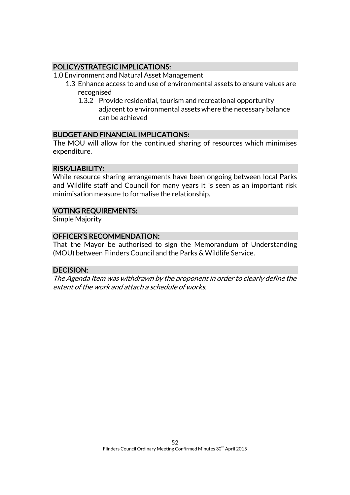# POLICY/STRATEGIC IMPLICATIONS:

1.0 Environment and Natural Asset Management

- 1.3 Enhance access to and use of environmental assets to ensure values are recognised
	- 1.3.2 Provide residential, tourism and recreational opportunity adjacent to environmental assets where the necessary balance can be achieved

# BUDGET AND FINANCIAL IMPLICATIONS:

The MOU will allow for the continued sharing of resources which minimises expenditure.

# RISK/LIABILITY:

While resource sharing arrangements have been ongoing between local Parks and Wildlife staff and Council for many years it is seen as an important risk minimisation measure to formalise the relationship.

# VOTING REQUIREMENTS:

Simple Majority

# OFFICER'S RECOMMENDATION:

That the Mayor be authorised to sign the Memorandum of Understanding (MOU) between Flinders Council and the Parks & Wildlife Service.

# DECISION:

The Agenda Item was withdrawn by the proponent in order to clearly define the extent of the work and attach a schedule of works.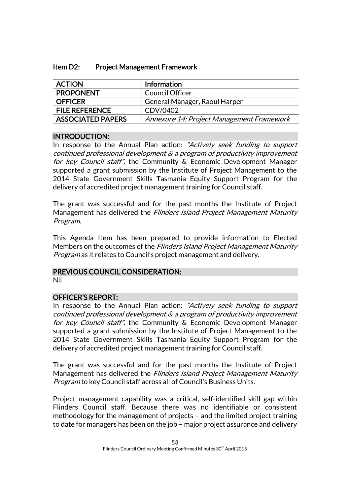| Item D2: | <b>Project Management Framework</b> |
|----------|-------------------------------------|
|----------|-------------------------------------|

| <b>ACTION</b>         | Information                               |
|-----------------------|-------------------------------------------|
| <b>PROPONENT</b>      | <b>Council Officer</b>                    |
| <b>OFFICER</b>        | General Manager, Raoul Harper             |
| <b>FILE REFERENCE</b> | CDV/0402                                  |
| ASSOCIATED PAPERS     | Annexure 14: Project Management Framework |

### INTRODUCTION:

In response to the Annual Plan action: "Actively seek funding to support continued professional development & a program of productivity improvement for key Council staff", the Community & Economic Development Manager supported a grant submission by the Institute of Project Management to the 2014 State Government Skills Tasmania Equity Support Program for the delivery of accredited project management training for Council staff.

The grant was successful and for the past months the Institute of Project Management has delivered the Flinders Island Project Management Maturity Program.

This Agenda Item has been prepared to provide information to Elected Members on the outcomes of the *Flinders Island Project Management Maturity* Program as it relates to Council's project management and delivery.

# PREVIOUS COUNCIL CONSIDERATION:

Nil

# OFFICER'S REPORT:

In response to the Annual Plan action: "Actively seek funding to support continued professional development & a program of productivity improvement for key Council staff", the Community & Economic Development Manager supported a grant submission by the Institute of Project Management to the 2014 State Government Skills Tasmania Equity Support Program for the delivery of accredited project management training for Council staff.

The grant was successful and for the past months the Institute of Project Management has delivered the Flinders Island Project Management Maturity Program to key Council staff across all of Council's Business Units.

Project management capability was a critical, self-identified skill gap within Flinders Council staff. Because there was no identifiable or consistent methodology for the management of projects – and the limited project training to date for managers has been on the job – major project assurance and delivery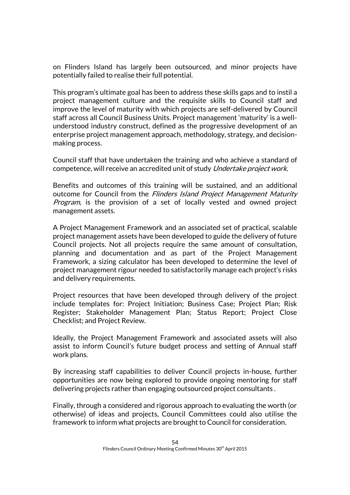on Flinders Island has largely been outsourced, and minor projects have potentially failed to realise their full potential.

This program's ultimate goal has been to address these skills gaps and to instil a project management culture and the requisite skills to Council staff and improve the level of maturity with which projects are self-delivered by Council staff across all Council Business Units. Project management 'maturity' is a wellunderstood industry construct, defined as the progressive development of an enterprise project management approach, methodology, strategy, and decisionmaking process.

Council staff that have undertaken the training and who achieve a standard of competence, will receive an accredited unit of study Undertake project work.

Benefits and outcomes of this training will be sustained, and an additional outcome for Council from the Flinders Island Project Management Maturity Program, is the provision of a set of locally vested and owned project management assets.

A Project Management Framework and an associated set of practical, scalable project management assets have been developed to guide the delivery of future Council projects. Not all projects require the same amount of consultation, planning and documentation and as part of the Project Management Framework, a sizing calculator has been developed to determine the level of project management rigour needed to satisfactorily manage each project's risks and delivery requirements.

Project resources that have been developed through delivery of the project include templates for: Project Initiation; Business Case; Project Plan; Risk Register; Stakeholder Management Plan; Status Report; Project Close Checklist; and Project Review.

Ideally, the Project Management Framework and associated assets will also assist to inform Council's future budget process and setting of Annual staff work plans.

By increasing staff capabilities to deliver Council projects in-house, further opportunities are now being explored to provide ongoing mentoring for staff delivering projects rather than engaging outsourced project consultants .

Finally, through a considered and rigorous approach to evaluating the worth (or otherwise) of ideas and projects, Council Committees could also utilise the framework to inform what projects are brought to Council for consideration.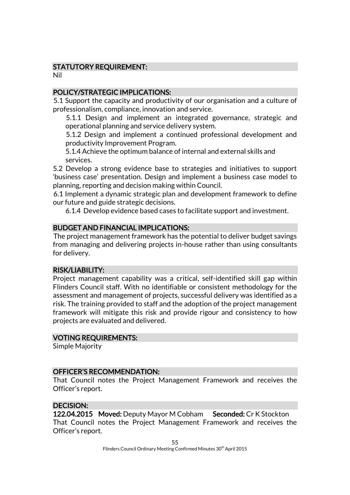# STATUTORY REQUIREMENT:

Nil

# POLICY/STRATEGIC IMPLICATIONS:

5.1 Support the capacity and productivity of our organisation and a culture of professionalism, compliance, innovation and service.

5.1.1 Design and implement an integrated governance, strategic and operational planning and service delivery system.

5.1.2 Design and implement a continued professional development and productivity Improvement Program.

5.1.4 Achieve the optimum balance of internal and external skills and services.

5.2 Develop a strong evidence base to strategies and initiatives to support 'business case' presentation. Design and implement a business case model to planning, reporting and decision making within Council.

6.1 Implement a dynamic strategic plan and development framework to define our future and guide strategic decisions.

6.1.4 Develop evidence based cases to facilitate support and investment.

# BUDGET AND FINANCIAL IMPLICATIONS:

The project management framework has the potential to deliver budget savings from managing and delivering projects in-house rather than using consultants for delivery.

# RISK/LIABILITY:

Project management capability was a critical, self-identified skill gap within Flinders Council staff. With no identifiable or consistent methodology for the assessment and management of projects, successful delivery was identified as a risk. The training provided to staff and the adoption of the project management framework will mitigate this risk and provide rigour and consistency to how projects are evaluated and delivered.

# VOTING REQUIREMENTS:

Simple Majority

### OFFICER'S RECOMMENDATION:

That Council notes the Project Management Framework and receives the Officer's report.

# DECISION:

122.04.2015 Moved: Deputy Mayor M Cobham Seconded: Cr K Stockton That Council notes the Project Management Framework and receives the Officer's report.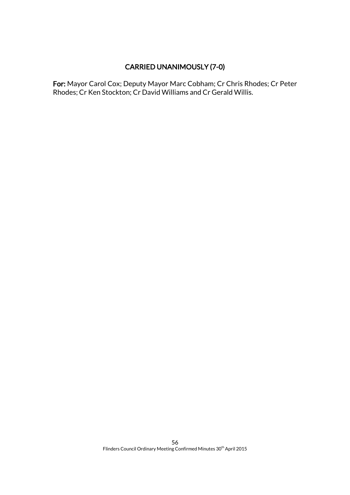# CARRIED UNANIMOUSLY (7-0)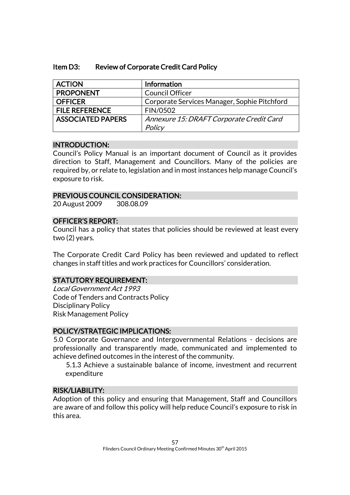### Item D3: Review of Corporate Credit Card Policy

| <b>ACTION</b>            | <b>Information</b>                           |
|--------------------------|----------------------------------------------|
| <b>PROPONENT</b>         | <b>Council Officer</b>                       |
| <b>OFFICER</b>           | Corporate Services Manager, Sophie Pitchford |
| <b>FILE REFERENCE</b>    | <b>FIN/0502</b>                              |
| <b>ASSOCIATED PAPERS</b> | Annexure 15: DRAFT Corporate Credit Card     |
|                          | Policy                                       |

### INTRODUCTION:

Council's Policy Manual is an important document of Council as it provides direction to Staff, Management and Councillors. Many of the policies are required by, or relate to, legislation and in most instances help manage Council's exposure to risk.

#### PREVIOUS COUNCIL CONSIDERATION:

20 August 2009 308.08.09

### OFFICER'S REPORT:

Council has a policy that states that policies should be reviewed at least every two (2) years.

The Corporate Credit Card Policy has been reviewed and updated to reflect changes in staff titles and work practices for Councillors' consideration.

### STATUTORY REQUIREMENT:

Local Government Act 1993 Code of Tenders and Contracts Policy Disciplinary Policy Risk Management Policy

### POLICY/STRATEGIC IMPLICATIONS:

5.0 Corporate Governance and Intergovernmental Relations - decisions are professionally and transparently made, communicated and implemented to achieve defined outcomes in the interest of the community.

5.1.3 Achieve a sustainable balance of income, investment and recurrent expenditure

#### RISK/LIABILITY:

Adoption of this policy and ensuring that Management, Staff and Councillors are aware of and follow this policy will help reduce Council's exposure to risk in this area.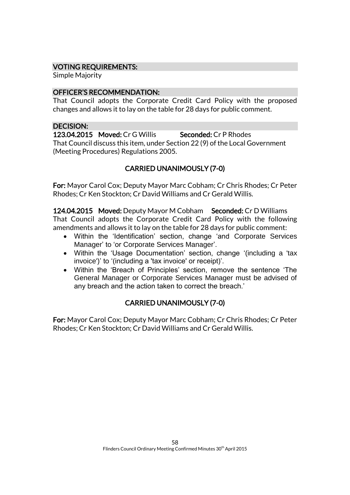# VOTING REQUIREMENTS:

Simple Majority

# OFFICER'S RECOMMENDATION:

That Council adopts the Corporate Credit Card Policy with the proposed changes and allows it to lay on the table for 28 days for public comment.

### DECISION:

123.04.2015 Moved: Cr G Willis Seconded: Cr P Rhodes That Council discuss this item, under Section 22 (9) of the Local Government (Meeting Procedures) Regulations 2005.

# CARRIED UNANIMOUSLY (7-0)

For: Mayor Carol Cox; Deputy Mayor Marc Cobham; Cr Chris Rhodes; Cr Peter Rhodes; Cr Ken Stockton; Cr David Williams and Cr Gerald Willis.

124.04.2015 Moved: Deputy Mayor M Cobham Seconded: Cr D Williams That Council adopts the Corporate Credit Card Policy with the following amendments and allows it to lay on the table for 28 days for public comment:

- Within the 'Identification' section, change 'and Corporate Services Manager' to 'or Corporate Services Manager'.
- Within the 'Usage Documentation' section, change '(including a 'tax invoice')' to '(including a 'tax invoice' or receipt)'.
- Within the 'Breach of Principles' section, remove the sentence 'The General Manager or Corporate Services Manager must be advised of any breach and the action taken to correct the breach.'

# CARRIED UNANIMOUSLY (7-0)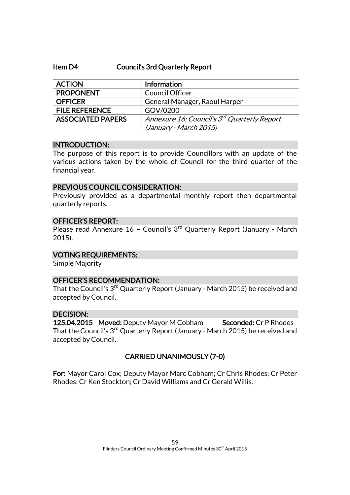#### Item D4: Council's 3rd Quarterly Report

| <b>ACTION</b>            | <b>Information</b>                                      |
|--------------------------|---------------------------------------------------------|
| <b>PROPONENT</b>         | <b>Council Officer</b>                                  |
| <b>OFFICER</b>           | General Manager, Raoul Harper                           |
| <b>FILE REFERENCE</b>    | GOV/0200                                                |
| <b>ASSOCIATED PAPERS</b> | Annexure 16: Council's 3 <sup>rd</sup> Quarterly Report |
|                          | (January - March 2015)                                  |

#### INTRODUCTION:

The purpose of this report is to provide Councillors with an update of the various actions taken by the whole of Council for the third quarter of the financial year.

#### PREVIOUS COUNCIL CONSIDERATION:

Previously provided as a departmental monthly report then departmental quarterly reports.

#### OFFICER'S REPORT:

Please read Annexure  $16$  - Council's  $3<sup>rd</sup>$  Quarterly Report (January - March 2015).

### VOTING REQUIREMENTS:

Simple Majority

### OFFICER'S RECOMMENDATION:

That the Council's 3<sup>rd</sup> Quarterly Report (January - March 2015) be received and accepted by Council.

### DECISION:

125.04.2015 Moved: Deputy Mayor M Cobham Seconded: Cr P Rhodes That the Council's 3<sup>rd</sup> Quarterly Report (January - March 2015) be received and accepted by Council.

# CARRIED UNANIMOUSLY (7-0)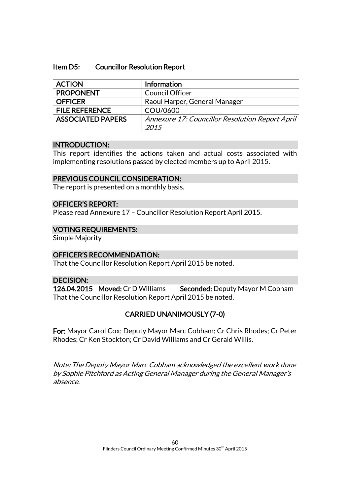#### Item D5: Councillor Resolution Report

| <b>Council Officer</b>                          |
|-------------------------------------------------|
|                                                 |
| Raoul Harper, General Manager                   |
| COU/0600                                        |
| Annexure 17: Councillor Resolution Report April |
|                                                 |

### INTRODUCTION:

This report identifies the actions taken and actual costs associated with implementing resolutions passed by elected members up to April 2015.

### PREVIOUS COUNCIL CONSIDERATION:

The report is presented on a monthly basis.

### OFFICER'S REPORT:

Please read Annexure 17 – Councillor Resolution Report April 2015.

### VOTING REQUIREMENTS:

Simple Majority

### OFFICER'S RECOMMENDATION:

That the Councillor Resolution Report April 2015 be noted.

### DECISION:

126.04.2015 Moved: Cr D Williams Seconded: Deputy Mayor M Cobham That the Councillor Resolution Report April 2015 be noted.

# CARRIED UNANIMOUSLY (7-0)

For: Mayor Carol Cox; Deputy Mayor Marc Cobham; Cr Chris Rhodes; Cr Peter Rhodes; Cr Ken Stockton; Cr David Williams and Cr Gerald Willis.

Note: The Deputy Mayor Marc Cobham acknowledged the excellent work done by Sophie Pitchford as Acting General Manager during the General Manager's absence.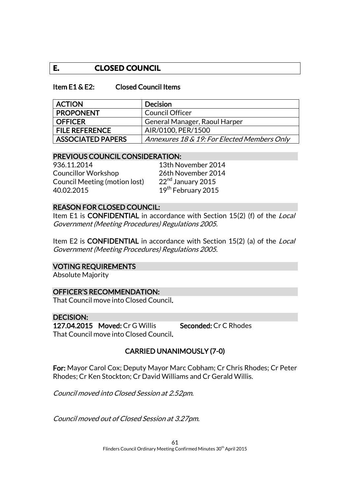# **E. CLOSED COUNCIL**

#### Item E1 & E2: Closed Council Items

| <b>ACTION</b>            | <b>Decision</b>                             |
|--------------------------|---------------------------------------------|
| <b>PROPONENT</b>         | <b>Council Officer</b>                      |
| <b>OFFICER</b>           | General Manager, Raoul Harper               |
| <b>FILE REFERENCE</b>    | AIR/0100, PER/1500                          |
| <b>ASSOCIATED PAPERS</b> | Annexures 18 & 19: For Elected Members Only |

#### PREVIOUS COUNCIL CONSIDERATION:

936.11.2014 13th November 2014 Councillor Workshop 26th November 2014<br>Council Meeting (motion lost) 22<sup>nd</sup> January 2015 Council Meeting (motion lost) 40.02.2015 19th February 2015

# REASON FOR CLOSED COUNCIL:

Item E1 is CONFIDENTIAL in accordance with Section 15(2) (f) of the *Local* Government (Meeting Procedures) Regulations 2005.

Item E2 is **CONFIDENTIAL** in accordance with Section 15(2) (a) of the *Local* Government (Meeting Procedures) Regulations 2005.

#### VOTING REQUIREMENTS

Absolute Majority

#### OFFICER'S RECOMMENDATION:

That Council move into Closed Council.

#### DECISION:

127.04.2015 Moved: Cr G Willis Seconded: Cr C Rhodes That Council move into Closed Council.

# CARRIED UNANIMOUSLY (7-0)

For: Mayor Carol Cox; Deputy Mayor Marc Cobham; Cr Chris Rhodes; Cr Peter Rhodes; Cr Ken Stockton; Cr David Williams and Cr Gerald Willis.

Council moved into Closed Session at 2.52pm.

Council moved out of Closed Session at 3.27pm.